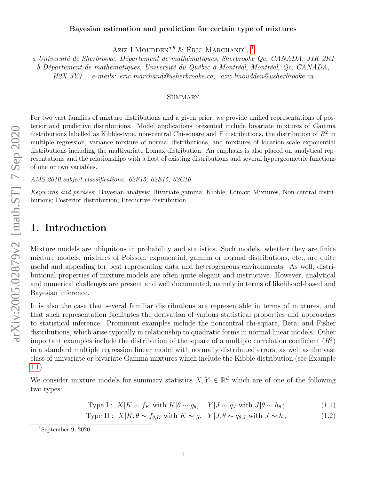#### Bayesian estimation and prediction for certain type of mixtures

Aziz LMOUDDEN<sup>a,b</sup> & Éric Marchand<sup>a</sup>, <sup>[1](#page-0-0)</sup>

a Université de Sherbrooke, Département de mathématiques, Sherbrooke Qc, CANADA, J1K 2R1

b Département de mathématiques, Université du Québec à Montréal, Montréal, Qc, CANADA,

H2X 3Y7 e-mails: eric.marchand@usherbrooke.ca; aziz.lmoudden@usherbrooke.ca

#### **SUMMARY**

For two vast families of mixture distributions and a given prior, we provide unified representations of posterior and predictive distributions. Model applications presented include bivariate mixtures of Gamma distributions labelled as Kibble-type, non-central Chi-square and F distributions, the distribution of  $R^2$  in multiple regression, variance mixture of normal distributions, and mixtures of location-scale exponential distributions including the multivariate Lomax distribution. An emphasis is also placed on analytical representations and the relationships with a host of existing distributions and several hypergeometric functions of one or two variables.

AMS 2010 subject classifications: 62F15; 62E15; 62C10

Keywords and phrases: Bayesian analysis; Bivariate gamma; Kibble; Lomax; Mixtures, Non-central distributions; Posterior distribution; Predictive distribution.

## 1. Introduction

Mixture models are ubiquitous in probability and statistics. Such models, whether they are finite mixture models, mixtures of Poisson, exponential, gamma or normal distributions, etc., are quite useful and appealing for best representing data and heterogeneous environments. As well, distributional properties of mixture models are often quite elegant and instructive. However, analytical and numerical challenges are present and well documented, namely in terms of likelihood-based and Bayesian inference.

It is also the case that several familiar distributions are representable in terms of mixtures, and that such representation facilitates the derivation of various statistical properties and approaches to statistical inference. Prominent examples include the noncentral chi-square, Beta, and Fisher distributions, which arise typically in relationship to quadratic forms in normal linear models. Other important examples include the distribution of the square of a multiple correlation coefficient  $(R^2)$ in a standard multiple regression linear model with normally distributed errors, as well as the vast class of univariate or bivariate Gamma mixtures which include the Kibble distribution (see Example [1.1\)](#page-1-0).

We consider mixture models for summary statistics  $X, Y \in \mathbb{R}^d$  which are of one of the following two types:

<span id="page-0-1"></span>Type I :  $X|K \sim f_K$  with  $K|\theta \sim q_\theta$ ,  $Y|J \sim q_J$  with  $J|\theta \sim h_\theta$ ; (1.1)

Type II :  $X|K, \theta \sim f_{\theta,K}$  with  $K \sim g$ ,  $Y|J, \theta \sim q_{\theta,J}$  with  $J \sim h$ ; (1.2)

<span id="page-0-0"></span><sup>&</sup>lt;sup>1</sup>September 9, 2020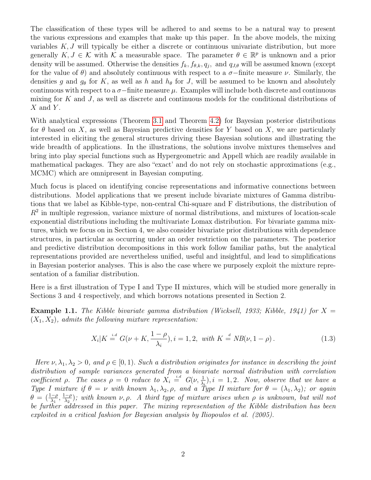The classification of these types will be adhered to and seems to be a natural way to present the various expressions and examples that make up this paper. In the above models, the mixing variables  $K, J$  will typically be either a discrete or continuous univariate distribution, but more generally  $K, J \in \mathcal{K}$  with  $\mathcal{K}$  a measurable space. The parameter  $\theta \in \mathbb{R}^p$  is unknown and a prior density will be assumed. Otherwise the densities  $f_k, f_{\theta,k}, q_j$ , and  $q_{J,\theta}$  will be assumed known (except for the value of  $\theta$ ) and absolutely continuous with respect to a  $\sigma$ -finite measure  $\nu$ . Similarly, the densities g and  $g_{\theta}$  for K, as well as h and  $h_{\theta}$  for J, will be assumed to be known and absolutely continuous with respect to a  $\sigma$ −finite measure  $\mu$ . Examples will include both discrete and continuous mixing for K and J, as well as discrete and continuous models for the conditional distributions of  $X$  and  $Y$ .

With analytical expressions (Theorem [3.1](#page-3-0) and Theorem [4.2\)](#page-8-0) for Bayesian posterior distributions for  $\theta$  based on X, as well as Bayesian predictive densities for Y based on X, we are particularly interested in eliciting the general structures driving these Bayesian solutions and illustrating the wide breadth of applications. In the illustrations, the solutions involve mixtures themselves and bring into play special functions such as Hypergeometric and Appell which are readily available in mathematical packages. They are also "exact' and do not rely on stochastic approximations (e.g., MCMC) which are omnipresent in Bayesian computing.

Much focus is placed on identifying concise representations and informative connections between distributions. Model applications that we present include bivariate mixtures of Gamma distributions that we label as Kibble-type, non-central Chi-square and F distributions, the distribution of  $R<sup>2</sup>$  in multiple regression, variance mixture of normal distributions, and mixtures of location-scale exponential distributions including the multivariate Lomax distribution. For bivariate gamma mixtures, which we focus on in Section 4, we also consider bivariate prior distributions with dependence structures, in particular as occurring under an order restriction on the parameters. The posterior and predictive distribution decompositions in this work follow familiar paths, but the analytical representations provided are nevertheless unified, useful and insightful, and lead to simplifications in Bayesian posterior analyses. This is also the case where we purposely exploit the mixture representation of a familiar distribution.

Here is a first illustration of Type I and Type II mixtures, which will be studied more generally in Sections 3 and 4 respectively, and which borrows notations presented in Section 2.

<span id="page-1-0"></span>**Example 1.1.** The Kibble bivariate gamma distribution (Wicksell, 1933; Kibble, 1941) for  $X =$  $(X_1, X_2)$ , admits the following mixture representation:

<span id="page-1-1"></span>
$$
X_i|K \stackrel{i.d}{=} G(\nu + K, \frac{1-\rho}{\lambda_i}), i = 1, 2, \text{ with } K \stackrel{d}{=} NB(\nu, 1-\rho).
$$
 (1.3)

Here  $\nu, \lambda_1, \lambda_2 > 0$ , and  $\rho \in [0, 1)$ . Such a distribution originates for instance in describing the joint distribution of sample variances generated from a bivariate normal distribution with correlation coefficient  $\rho$ . The cases  $\rho = 0$  reduce to  $X_i \stackrel{i.d}{=} G(\nu, \frac{1}{\lambda_i}), i = 1, 2$ . Now, observe that we have a Type I mixture if  $\theta = \nu$  with known  $\lambda_1, \lambda_2, \rho$ , and a Type II mixture for  $\theta = (\lambda_1, \lambda_2)$ ; or again  $\theta = (\frac{1-\rho}{\lambda_1}, \frac{1-\rho}{\lambda_2})$  $\frac{(-\rho)}{\lambda_2}$ ; with known  $\nu, \rho$ . A third type of mixture arises when  $\rho$  is unknown, but will not be further addressed in this paper. The mixing representation of the Kibble distribution has been exploited in a critical fashion for Bayesian analysis by Iliopoulos et al. (2005).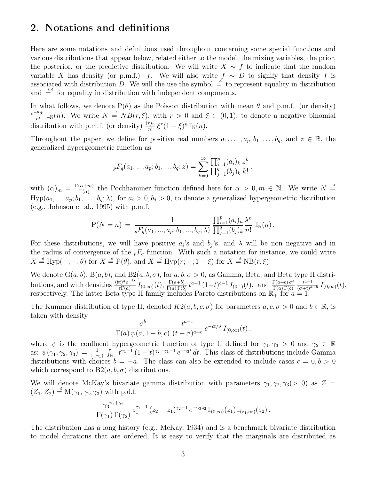#### 2. Notations and definitions

Here are some notations and definitions used throughout concerning some special functions and various distributions that appear below, related either to the model, the mixing variables, the prior, the posterior, or the predictive distribution. We will write  $X \sim f$  to indicate that the random variable X has density (or p.m.f.) f. We will also write  $f \sim D$  to signify that density f is associated with distribution D. We will the use the symbol  $\frac{d}{dx}$  to represent equality in distribution and  $\dot{=}$  for equality in distribution with independent components.

In what follows, we denote  $P(\theta)$  as the Poisson distribution with mean  $\theta$  and p.m.f. (or density)  $e^{-\theta} \theta^n$  $\frac{\partial \theta^n}{\partial n!} \mathbb{I}_{\mathbb{N}}(n)$ . We write  $N = N B(r, \xi)$ , with  $r > 0$  and  $\xi \in (0, 1)$ , to denote a negative binomial distribution with p.m.f. (or density)  $\frac{(r)_n}{n!} \xi^r (1-\xi)^n \mathbb{I}_{\mathbb{N}}(n)$ .

Throughout the paper, we define for positive real numbers  $a_1, \ldots, a_p, b_1, \ldots, b_q$ , and  $z \in \mathbb{R}$ , the generalized hypergeometric function as

$$
{}_{p}F_{q}(a_{1},...,a_{p};b_{1},...,b_{q};z) = \sum_{k=0}^{\infty} \frac{\prod_{i=1}^{p}(a_{i})_{k}}{\prod_{j=1}^{q}(b_{j})_{k}} \frac{z^{k}}{k!},
$$

with  $(\alpha)_m = \frac{\Gamma(\alpha+m)}{\Gamma(\alpha)}$  $\frac{(\alpha+m)}{\Gamma(\alpha)}$  the Pochhammer function defined here for  $\alpha > 0, m \in \mathbb{N}$ . We write  $N =$  $Hyp(a_1, \ldots, a_p; b_1, \ldots, b_q; \lambda)$ , for  $a_i > 0, b_j > 0$ , to denote a generalized hypergeometric distribution (e.g., Johnson et al., 1995) with p.m.f.

$$
P(N = n) = \frac{1}{pF_q(a_1, ..., a_p; b_1, ..., b_q; \lambda)} \frac{\prod_{i=1}^p (a_i)_n \lambda^n}{\prod_{j=1}^q (b_j)_k \ n!} \mathbb{I}_{\mathbb{N}}(n).
$$

For these distributions, we will have positive  $a_i$ 's and  $b_j$ 's, and  $\lambda$  will be non negative and in the radius of convergence of the  $p_1F_q$  function. With such a notation for instance, we could write  $X \stackrel{d}{=} \text{Hyp}(-; -; \theta)$  for  $X \stackrel{d}{=} \text{P}(\theta)$ , and  $X \stackrel{d}{=} \text{Hyp}(r; -; 1 - \xi)$  for  $X \stackrel{d}{=} \text{NB}(r, \xi)$ .

We denote  $G(a, b)$ ,  $B(a, b)$ , and  $B2(a, b, \sigma)$ , for  $a, b, \sigma > 0$ , as Gamma, Beta, and Beta type II distributions, and with densities  $\frac{(bt)^{a}e^{-bt}}{t\Gamma(a)}$  $\frac{t)^ae^{-bt}}{t\Gamma(a)}$   $I_{(0,\infty)}(t),\, \frac{\Gamma(a+b)}{\Gamma(a)\,\Gamma(b)}$  $\frac{\Gamma(a+b)}{\Gamma(a)\Gamma(b)}t^{a-1}(1-t)^{b-1}I_{(0,1)}(t),$  and  $\frac{\Gamma(a+b)\sigma^{b}}{\Gamma(a)\Gamma(b)}$  $Γ(a) Γ(b)$  $t^{a-1}$  $\frac{t^{a-1}}{(\sigma+t)^{a+b}} I_{(0,\infty)}(t),$ respectively. The latter Beta type II family includes Pareto distributions on  $\mathbb{R}_+$  for  $a = 1$ .

The Kummer distribution of type II, denoted  $K2(a, b, c, \sigma)$  for parameters  $a, c, \sigma > 0$  and  $b \in \mathbb{R}$ , is taken with density

$$
\frac{\sigma^b}{\Gamma(a)\,\psi(a,1-b,c)}\,\frac{t^{a-1}}{(t+\sigma)^{a+b}}\,e^{-ct/\sigma}\,I_{(0,\infty)}(t)\,,
$$

where  $\psi$  is the confluent hypergeometric function of type II defined for  $\gamma_1, \gamma_3 > 0$  and  $\gamma_2 \in \mathbb{R}$ as:  $\psi(\gamma_1, \gamma_2, \gamma_3) = \frac{1}{\Gamma(\gamma_1)} \int_{\mathbb{R}_+} t^{\gamma_1 - 1} (1 + t)^{\gamma_2 - \gamma_1 - 1} e^{-\gamma_3 t} dt$ . This class of distributions include Gamma distributions with choices  $b = -a$ . The class can also be extended to include cases  $c = 0, b > 0$ which correspond to  $B2(a, b, \sigma)$  distributions.

We will denote McKay's bivariate gamma distribution with parameters  $\gamma_1, \gamma_2, \gamma_3 (> 0)$  as Z =  $(Z_1, Z_2) \stackrel{d}{=} M(\gamma_1, \gamma_2, \gamma_3)$  with p.d.f.

$$
\frac{\gamma_3^{\gamma_1+\gamma_2}}{\Gamma(\gamma_1)\,\Gamma(\gamma_2)} z_1^{\gamma_1-1} (z_2-z_1)^{\gamma_2-1} e^{-\gamma_3 z_2} \mathbb{I}_{(0,\infty)}(z_1) \mathbb{I}_{(z_1,\infty)}(z_2).
$$

The distribution has a long history (e.g., McKay, 1934) and is a benchmark bivariate distribution to model durations that are ordered, It is easy to verify that the marginals are distributed as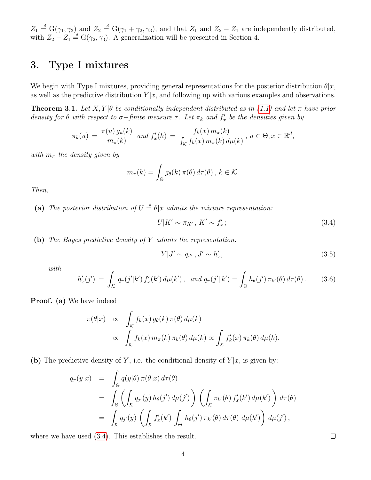$Z_1 \stackrel{d}{=} G(\gamma_1, \gamma_3)$  and  $Z_2 \stackrel{d}{=} G(\gamma_1 + \gamma_2, \gamma_3)$ , and that  $Z_1$  and  $Z_2 - Z_1$  are independently distributed, with  $Z_2 - Z_1 \stackrel{d}{=} G(\gamma_2, \gamma_3)$ . A generalization will be presented in Section 4.

## 3. Type I mixtures

We begin with Type I mixtures, providing general representations for the posterior distribution  $\theta |x$ , as well as the predictive distribution  $Y|x$ , and following up with various examples and observations.

<span id="page-3-0"></span>**Theorem 3.1.** Let  $X, Y | \theta$  be conditionally independent distributed as in [\(1.1\)](#page-0-1) and let  $\pi$  have prior density for  $\theta$  with respect to  $\sigma$ -finite measure  $\tau$ . Let  $\pi_k$  and  $f'_x$  be the densities given by

$$
\pi_k(u) = \frac{\pi(u) g_u(k)}{m_\pi(k)} \text{ and } f'_x(k) = \frac{f_k(x) m_\pi(k)}{\int_{\mathcal{K}} f_k(x) m_\pi(k) d\mu(k)}, u \in \Theta, x \in \mathbb{R}^d,
$$

with  $m_{\pi}$  the density given by

$$
m_{\pi}(k) = \int_{\Theta} g_{\theta}(k) \,\pi(\theta) \,d\tau(\theta), \, k \in \mathcal{K}.
$$

Then,

(a) The posterior distribution of  $U = \theta | x$  admits the mixture representation:

<span id="page-3-1"></span>
$$
U|K' \sim \pi_{K'}, K' \sim f'_x; \tag{3.4}
$$

(b) The Bayes predictive density of Y admits the representation:

<span id="page-3-3"></span>
$$
Y|J' \sim q_{J'}, J' \sim h'_x,\tag{3.5}
$$

with

<span id="page-3-2"></span>
$$
h'_x(j') = \int_{\mathcal{K}} q_\pi(j'|k') f'_x(k') d\mu(k'), \text{ and } q_\pi(j'|k') = \int_{\Theta} h_\theta(j') \, \pi_{k'}(\theta) d\tau(\theta).
$$
 (3.6)

Proof. (a) We have indeed

$$
\pi(\theta|x) \propto \int_{\mathcal{K}} f_k(x) g_{\theta}(k) \pi(\theta) d\mu(k)
$$
  
 
$$
\propto \int_{\mathcal{K}} f_k(x) m_{\pi}(k) \pi_k(\theta) d\mu(k) \propto \int_{\mathcal{K}} f'_k(x) \pi_k(\theta) d\mu(k).
$$

(b) The predictive density of Y, i.e. the conditional density of  $Y|x$ , is given by:

$$
q_{\pi}(y|x) = \int_{\Theta} q(y|\theta) \pi(\theta|x) d\tau(\theta)
$$
  
= 
$$
\int_{\Theta} \left( \int_{\mathcal{K}} q_{j'}(y) h_{\theta}(j') d\mu(j') \right) \left( \int_{\mathcal{K}} \pi_{k'}(\theta) f'_{x}(k') d\mu(k') \right) d\tau(\theta)
$$
  
= 
$$
\int_{\mathcal{K}} q_{j'}(y) \left( \int_{\mathcal{K}} f'_{x}(k') \int_{\Theta} h_{\theta}(j') \pi_{k'}(\theta) d\tau(\theta) d\mu(k') \right) d\mu(j'),
$$

where we have used [\(3.4\)](#page-3-1). This establishes the result.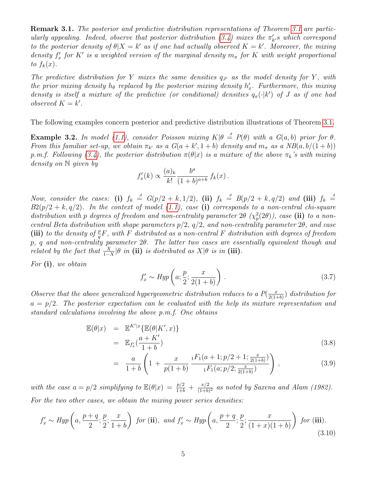**Remark [3.1](#page-3-0).** The posterior and predictive distribution representations of Theorem 3.1 are partic-ularly appealing. Indeed, observe that posterior distribution [\(3.4\)](#page-3-1) mixes the  $\pi'_{k'}s$  which correspond to the posterior density of  $\theta|X = k'$  as if one had actually observed  $K = k'$ . Moreover, the mixing density  $f'_x$  for K' is a weighted version of the marginal density  $m_\pi$  for K with weight proportional to  $f_k(x)$ .

The predictive distribution for Y mixes the same densities  $q_{J'}$  as the model density for Y, with the prior mixing density  $h_{\theta}$  replaced by the posterior mixing density  $h'_x$ . Furthermore, this mixing density is itself a mixture of the predictive (or conditional) densities  $q_{\pi}(\cdot | k')$  of J as if one had observed  $K = k'$ .

The following examples concern posterior and predictive distribution illustrations of Theorem [3.1.](#page-3-0)

<span id="page-4-1"></span>**Example 3.2.** In model [\(1.1\)](#page-0-1), consider Poisson mixing  $K|\theta = P(\theta)$  with a  $G(a, b)$  prior for  $\theta$ . From this familiar set-up, we obtain  $\pi_{k'}$  as a  $G(a + k', 1 + b)$  density and  $m_{\pi}$  as a  $NB(a, b/(1 + b))$ p.m.f. Following [\(3.4\)](#page-3-1), the posterior distribution  $\pi(\theta|x)$  is a mixture of the above  $\pi_k$ 's with mixing density on N given by

$$
f'_x(k) \propto \frac{(a)_k}{k!} \frac{b^a}{(1+b)^{a+k}} f_k(x).
$$

Now, consider the cases: (i)  $f_k = G(p/2 + k, 1/2)$ , (ii)  $f_k = B(p/2 + k, q/2)$  and (iii)  $f_k =$  $B2(p/2 + k, q/2)$ . In the context of model [\(1.1\)](#page-0-1), case (i) corresponds to a non-central chi-square distribution with p degrees of freedom and non-centrality parameter  $2\theta$   $(\chi^2_p(2\theta))$ , case (ii) to a noncentral Beta distribution with shape parameters  $p/2$ ,  $q/2$ , and non-centrality parameter  $2\theta$ , and case (iii) to the density of  $\frac{p}{q}F$ , with F distributed as a non-central F distribution with degrees of freedom p, q and non-centrality parameter 2θ. The latter two cases are essentially equivalent though and *related by the fact that*  $\frac{X}{1-X}$  $\vert \theta$  *in* (ii) *is distributed as*  $X\vert \theta$  *is in* (iii).

For  $(i)$ , we obtain

<span id="page-4-2"></span>
$$
f'_x \sim Hyp\left(a; \frac{p}{2}; \frac{x}{2(1+b)}\right). \tag{3.7}
$$

Observe that the above generalized hypergeometric distribution reduces to a  $P(\frac{x}{2(1-x)})$  $\frac{x}{2(1+b)}$ ) distribution for  $a = p/2$ . The posterior expectation can be evaluated with the help its mixture representation and standard calculations involving the above p.m.f. One obtains

<span id="page-4-0"></span>
$$
\mathbb{E}(\theta|x) = \mathbb{E}^{K'|x} {\mathbb{E}(\theta|K',x)}
$$
  
= 
$$
\mathbb{E}_{f'_x}(\frac{a+K'}{1+b})
$$
 (3.8)

$$
= \frac{a}{1+b} \left( 1 + \frac{x}{p(1+b)} \frac{{}_1F_1(a+1;p/2+1;\frac{x}{2(1+b)})}{{}_1F_1(a;p/2;\frac{x}{2(1+b)})} \right), \tag{3.9}
$$

with the case  $a = p/2$  simplifying to  $\mathbb{E}(\theta|x) = \frac{p/2}{1+b} + \frac{x/2}{(1+b)}$  $\frac{x/2}{(1+b)^2}$  as noted by Saxena and Alam (1982). For the two other cases, we obtain the mixing power series densities:

<span id="page-4-3"></span>
$$
f'_x \sim Hyp\left(a, \frac{p+q}{2}; \frac{p}{2}; \frac{x}{1+b}\right) \text{ for (ii), and } f'_x \sim Hyp\left(a, \frac{p+q}{2}; \frac{p}{2}; \frac{x}{(1+x)(1+b)}\right) \text{ for (iii).}
$$
\n(3.10)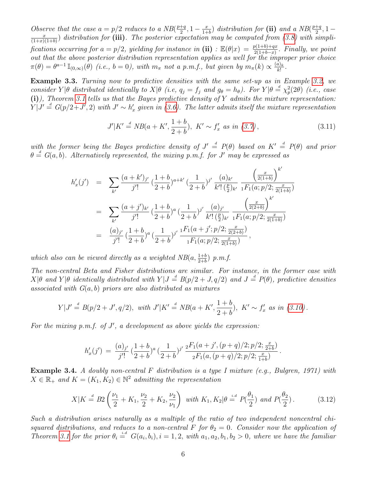Observe that the case  $a = p/2$  reduces to a NB( $\frac{p+q}{2}$ )  $\frac{+q}{2}, 1-\frac{x}{1+}$  $\frac{x}{1+b}$ ) distribution for (ii) and a NB( $\frac{p+q}{2}$  $\frac{+q}{2}, 1$ x  $\frac{x}{(1+x)(1+b)}$  distribution for (iii). The posterior expectation may be computed from [\(3.8\)](#page-4-0) with simplifications occurring for  $a = p/2$ , yielding for instance in (ii) :  $\mathbb{E}(\theta|x) = \frac{p(1+b)+qx}{2(1+b-x)}$ . Finally, we point out that the above posterior distribution representation applies as well for the improper prior choice  $\pi(\theta) = \theta^{a-1} \mathbb{I}_{(0,\infty)}(\theta)$  (i.e.,  $b = 0$ ), with  $m_{\pi}$  not a p.m.f., but given by  $m_{\pi}(k) \propto \frac{(a)_k}{k!}$  $\frac{a_{k}}{k!}$ .

<span id="page-5-0"></span>Example 3.3. Turning now to predictive densities with the same set-up as in Example [3.2,](#page-4-1) we consider  $Y|\theta$  distributed identically to  $X|\theta$  (i.e,  $q_j = f_j$  and  $g_{\theta} = h_{\theta}$ ). For  $Y|\theta = \chi^2_p(2\theta)$  (i.e., case  $(i)$ ), Theorem [3.1](#page-3-0) tells us that the Bayes predictive density of Y admits the mixture representation:  $Y|J' \stackrel{d}{=} G(p/2+J',2)$  with  $J' \sim h'_x$  given in [\(3.6\)](#page-3-2). The latter admits itself the mixture representation

$$
J'|K' \stackrel{d}{=} NB(a+K', \frac{1+b}{2+b}), \ K' \sim f'_x \ \text{as in } (3.7), \tag{3.11}
$$

 $\overline{1}$ 

with the former being the Bayes predictive density of  $J' \stackrel{d}{=} P(\theta)$  based on  $K' \stackrel{d}{=} P(\theta)$  and prior  $\theta \stackrel{d}{=} G(a, b)$ . Alternatively represented, the mixing p.m.f. for J' may be expressed as

$$
h'_{x}(j') = \sum_{k'} \frac{(a+k')_{j'}}{j'!} \left(\frac{1+b}{2+b}\right)^{a+k'} \left(\frac{1}{2+b}\right)^{j'} \frac{(a)_{k'}}{k'! \left(\frac{p}{2}\right)_{k'}} \frac{\left(\frac{x}{2(1+b)}\right)^{k'}}{1F_{1}(a;p/2; \frac{x}{2(1+b)})}
$$
  

$$
= \sum_{k'} \frac{(a+j')_{k'}}{j'!} \left(\frac{1+b}{2+b}\right)^{a} \left(\frac{1}{2+b}\right)^{j'} \frac{(a)_{j'}}{k'! \left(\frac{p}{2}\right)_{k'}} \frac{\left(\frac{x}{2(2+b)}\right)^{k'}}{1F_{1}(a;p/2; \frac{x}{2(1+b)})}
$$
  

$$
= \frac{(a)_{j'}}{j'!} \left(\frac{1+b}{2+b}\right)^{a} \left(\frac{1}{2+b}\right)^{j'} \frac{1F_{1}(a+j';p/2; \frac{x}{2(2+b)})}{1F_{1}(a;p/2; \frac{x}{2(1+b)})},
$$

which also can be viewed directly as a weighted  $NB(a, \frac{1+b}{2+b})$  p.m.f.

The non-central Beta and Fisher distributions are similar. For instance, in the former case with  $X|\theta$  and  $Y|\theta$  identically distributed with  $Y|J \stackrel{d}{=} B(p/2+J,q/2)$  and  $J \stackrel{d}{=} P(\theta)$ , predictive densities associated with  $G(a, b)$  priors are also distributed as mixtures

$$
Y|J' \stackrel{d}{=} B(p/2+J', q/2), \text{ with } J'|K' \stackrel{d}{=} NB(a+K', \frac{1+b}{2+b}), \ K' \sim f'_x \text{ as in (3.10)}.
$$

For the mixing  $p.m.f.$  of  $J'$ , a development as above yields the expression:

$$
h'_x(j') ~=~ \frac{(a)_{j'}}{j'!}{\,} \frac{(1+b)}{(2+b)}^a{\,} \frac{1}{(2+b)}^{j'}{\,} \frac{{}_2F_1(a+j',(p+q)/2;p/2;\frac{x}{2+b})}{{}_2F_1(a,(p+q)/2;p/2;\frac{x}{1+b})}{\,}.
$$

**Example 3.4.** A doubly non-central F distribution is a type I mixture (e.g., Bulgren, 1971) with  $X \in \mathbb{R}_+$  and  $K = (K_1, K_2) \in \mathbb{N}^2$  admitting the representation

<span id="page-5-1"></span>
$$
X|K \stackrel{d}{=} B2\left(\frac{\nu_1}{2} + K_1, \frac{\nu_2}{2} + K_2, \frac{\nu_2}{\nu_1}\right) \text{ with } K_1, K_2|\theta \stackrel{i.d}{=} P(\frac{\theta_1}{2}) \text{ and } P(\frac{\theta_2}{2}). \tag{3.12}
$$

Such a distribution arises naturally as a multiple of the ratio of two independent noncentral chisquared distributions, and reduces to a non-central F for  $\theta_2 = 0$ . Consider now the application of Theorem [3.1](#page-3-0) for the prior  $\theta_i \stackrel{i.d}{=} G(a_i, b_i), i = 1, 2$ , with  $a_1, a_2, b_1, b_2 > 0$ , where we have the familiar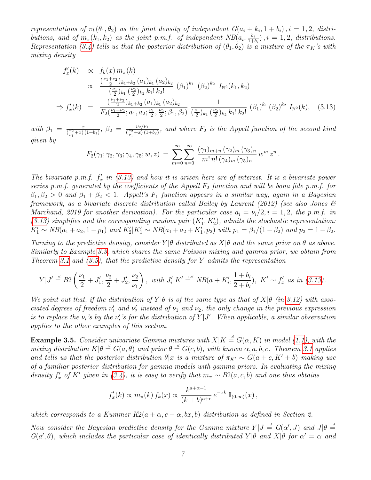representations of  $\pi_k(\theta_1, \theta_2)$  as the joint density of independent  $G(a_i + k_i, 1 + b_i)$ ,  $i = 1, 2$ , distributions, and of  $m_\pi(k_1, k_2)$  as the joint p.m.f. of independent  $NB(a_i, \frac{b_i}{1+b_i})$  $\frac{b_i}{1+b_i}$ ,  $i = 1, 2$ , distributions. Representation [\(3.4\)](#page-3-1) tells us that the posterior distribution of  $(\theta_1, \theta_2)$  is a mixture of the  $\pi_K$ 's with mixing density

<span id="page-6-0"></span>
$$
f_x'(k) \propto f_k(x) m_{\pi}(k)
$$
  
\n
$$
\propto \frac{\left(\frac{\nu_1 + \nu_2}{2}\right)_{k_1 + k_2} (a_1)_{k_1} (a_2)_{k_2}}{\left(\frac{\nu_1}{2}\right)_{k_1} \left(\frac{\nu_2}{2}\right)_{k_2} k_1! k_2!} (\beta_1)^{k_1} (\beta_2)^{k_2} I_{\mathbb{N}^2}(k_1, k_2)
$$
  
\n
$$
\Rightarrow f_x'(k) = \frac{\left(\frac{\nu_1 + \nu_2}{2}\right)_{k_1 + k_2} (a_1)_{k_1} (a_2)_{k_2}}{F_2\left(\frac{\nu_1 + \nu_2}{2}; a_1, a_2; \frac{\nu_1}{2}, \frac{\nu_2}{2}; \beta_1, \beta_2\right)} \frac{1}{\left(\frac{\nu_1}{2}\right)_{k_1} \left(\frac{\nu_2}{2}\right)_{k_2} k_1! k_2!} (\beta_1)^{k_1} (\beta_2)^{k_2} I_{\mathbb{N}^2}(k), \quad (3.13)
$$

with  $\beta_1 = \frac{x}{\binom{v_2}{x}}$  $\frac{x}{(\frac{\nu_2}{\nu_1}+x)(1+b_1)}, \ \beta_2 = \frac{\nu_2/\nu_1}{(\frac{\nu_2}{\nu_1}+x)(1+b_1)}$  $\frac{\nu_2/\nu_1}{(\frac{\nu_2}{\nu_1}+x)(1+b_2)}$ , and where  $F_2$  is the Appell function of the second kind given by

$$
F_2(\gamma_1; \gamma_2, \gamma_3; \gamma_4, \gamma_5; w, z) = \sum_{m=0}^{\infty} \sum_{n=0}^{\infty} \frac{(\gamma_1)_{m+n} (\gamma_2)_m (\gamma_3)_n}{m! n! (\gamma_4)_m (\gamma_5)_n} w^m z^n.
$$

The bivariate p.m.f.  $f'_x$  in [\(3.13\)](#page-6-0) and how it is arisen here are of interest. It is a bivariate power series p.m.f. generated by the coefficients of the Appell  $F_2$  function and will be bona fide p.m.f. for  $\beta_1, \beta_2 > 0$  and  $\beta_1 + \beta_2 < 1$ . Appell's  $F_1$  function appears in a similar way, again in a Bayesian framework, as a bivariate discrete distribution called Bailey by Laurent (2012) (see also Jones & Marchand, 2019 for another derivation). For the particular case  $a_i = \nu_i/2$ ,  $i = 1, 2$ , the p.m.f. in [\(3.13\)](#page-6-0) simplifies and the corresponding random pair  $(K'_1, K'_2)$ , admits the stochastic representation:  $K'_1 \sim NB(a_1 + a_2, 1 - p_1)$  and  $K'_2|K'_1 \sim NB(a_1 + a_2 + K'_1, p_2)$  with  $p_1 = \beta_1/(1 - \beta_2)$  and  $p_2 = 1 - \beta_2$ .

Turning to the predictive density, consider  $Y|\theta$  distributed as  $X|\theta$  and the same prior on  $\theta$  as above. Similarly to Example [3.3,](#page-5-0) which shares the same Poisson mixing and gamma prior, we obtain from Theorem [3.1](#page-3-0) and  $(3.5)$ , that the predictive density for Y admits the representation

<span id="page-6-1"></span>
$$
Y|J' \stackrel{d}{=} B2\left(\frac{\nu_1}{2} + J_1', \frac{\nu_2}{2} + J_2', \frac{\nu_2}{\nu_1}\right), \text{ with } J_i'|K' \stackrel{i.d}{=} NB(a+K_i', \frac{1+b_i}{2+b_i}), \ K' \sim f'_x \text{ as in (3.13)}.
$$

We point out that, if the distribution of  $Y|\theta$  is of the same type as that of  $X|\theta$  (in [3.12\)](#page-5-1) with associated degrees of freedom  $\nu'_1$  and  $\nu'_2$  instead of  $\nu_1$  and  $\nu_2$ , the only change in the previous expression is to replace the  $\nu_i$ 's by the  $\nu'_i$ 's for the distribution of Y|J'. When applicable, a similar observation applies to the other examples of this section.

<span id="page-6-2"></span>**Example 3.5.** Consider univariate Gamma mixtures with  $X|K \stackrel{d}{=} G(\alpha,K)$  in model [\(1.1\)](#page-0-1), with the mixing distribution  $K|\theta \stackrel{d}{=} G(a,\theta)$  and prior  $\theta \stackrel{d}{=} G(c,b)$ , with known  $\alpha, a, b, c$ . Theorem [3.1](#page-3-0) applies and tells us that the posterior distribution  $\theta |x$  is a mixture of  $\pi_{K'} \sim G(a + c, K' + b)$  making use of a familiar posterior distribution for gamma models with gamma priors. In evaluating the mixing density  $f'_x$  of K' given in [\(3.4\)](#page-3-1), it is easy to verify that  $m_\pi \sim B2(a, c, b)$  and one thus obtains

$$
f'_x(k) \propto m_\pi(k) f_k(x) \propto \frac{k^{a+\alpha-1}}{(k+b)^{a+c}} e^{-xk} \mathbb{I}_{(0,\infty)}(x)
$$
,

which corresponds to a Kummer  $K2(a + \alpha, c - \alpha, bx, b)$  distribution as defined in Section 2.

Now consider the Bayesian predictive density for the Gamma mixture  $Y|J = G(\alpha',J)$  and  $J|\theta = \frac{d}{d\beta}$  $G(a', \theta)$ , which includes the particular case of identically distributed  $Y|\theta$  and  $X|\theta$  for  $\alpha' = \alpha$  and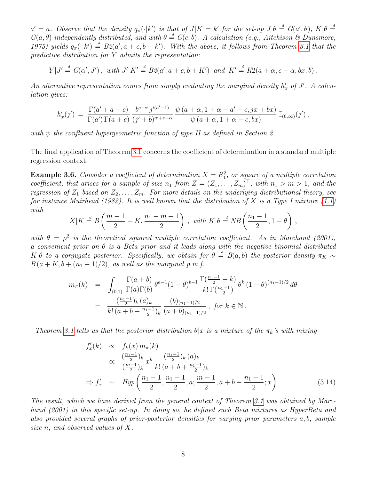$a' = a$ . Observe that the density  $q_{\pi}(\cdot | k')$  is that of  $J|K = k'$  for the set-up  $J|\theta \stackrel{d}{=} G(a', \theta)$ ,  $K|\theta \stackrel{d}{=}$  $G(a, \theta)$  independently distributed, and with  $\theta \stackrel{d}{=} G(c, b)$ . A calculation (e.g., Aitchison & Dunsmore, 1975) yields  $q_{\pi}(\cdot|k') = B2(a', a+c, b+k')$ . With the above, it follows from Theorem [3.1](#page-3-0) that the predictive distribution for Y admits the representation:

$$
Y|J' \stackrel{d}{=} G(\alpha',J'), \text{ with } J'|K' \stackrel{d}{=} B2(a',a+c,b+K') \text{ and } K' \stackrel{d}{=} K2(a+\alpha,c-\alpha,bx,b).
$$

An alternative representation comes from simply evaluating the marginal density  $h'_x$  of  $J'$ . A calculation gives:

$$
h'_x(j') = \frac{\Gamma(a'+a+c)}{\Gamma(a')\Gamma(a+c)} \frac{b^{c-\alpha}j'^{(a'-1)}}{(j'+b)^{a'+c-\alpha}} \frac{\psi(a+\alpha, 1+\alpha-a'-c, jx+bx)}{\psi(a+\alpha, 1+\alpha-c, bx)} \mathbb{I}_{(0,\infty)}(j'),
$$

with  $\psi$  the confluent hypergeometric function of type II as defined in Section 2.

The final application of Theorem [3.1](#page-3-0) concerns the coefficient of determination in a standard multiple regression context.

**Example 3.6.** Consider a coefficient of determination  $X = R_1^2$ , or square of a multiple correlation coefficient, that arises for a sample of size  $n_1$  from  $Z = (Z_1, \ldots, Z_m)^\top$ , with  $n_1 > m > 1$ , and the regression of  $Z_1$  based on  $Z_2, \ldots, Z_m$ . For more details on the underlying distributional theory, see for instance Muirhead (1982). It is well known that the distribution of X is a Type I mixture  $(1.1)$ with

$$
X|K \stackrel{d}{=} B\left(\frac{m-1}{2} + K, \frac{n_1 - m + 1}{2}\right), \text{ with } K|\theta \stackrel{d}{=} NB\left(\frac{n_1 - 1}{2}, 1 - \theta\right),
$$

with  $\theta = \rho^2$  is the theoretical squared multiple correlation coefficient. As in Marchand (2001), a convenient prior on  $\theta$  is a Beta prior and it leads along with the negative binomial distributed  $K|\theta$  to a conjugate posterior. Specifically, we obtain for  $\theta = B(a, b)$  the posterior density  $\pi_K \sim$  $B(a+K, b+(n_1-1)/2)$ , as well as the marginal p.m.f.

$$
m_{\pi}(k) = \int_{(0,1)} \frac{\Gamma(a+b)}{\Gamma(a)\Gamma(b)} \theta^{a-1} (1-\theta)^{b-1} \frac{\Gamma(\frac{n_1-1}{2}+k)}{k! \Gamma(\frac{n_1-1}{2})} \theta^k (1-\theta)^{(n_1-1)/2} d\theta
$$
  
= 
$$
\frac{(\frac{n_1-1}{2})_k (a)_k}{k! (a+b+\frac{n_1-1}{2})_k} \frac{(b)_{(n_1-1)/2}}{(a+b)_{(n_1-1)/2}}, \text{ for } k \in \mathbb{N}.
$$

Theorem [3.1](#page-3-0) tells us that the posterior distribution  $\theta | x$  is a mixture of the  $\pi_k$ 's with mixing

$$
f'_x(k) \propto f_k(x) m_\pi(k)
$$
  
\n
$$
\propto \frac{\left(\frac{n_1-1}{2}\right)_k}{\left(\frac{m-1}{2}\right)_k} x^k \frac{\left(\frac{n_1-1}{2}\right)_k (a)_k}{k! (a+b+\frac{n_1-1}{2})_k}
$$
  
\n
$$
\Rightarrow f'_x \sim Hyp\left(\frac{n_1-1}{2}, \frac{n_1-1}{2}, a; \frac{m-1}{2}, a+b+\frac{n_1-1}{2}; x\right).
$$
 (3.14)

The result, which we have derived from the general context of Theorem [3.1](#page-3-0) was obtained by Marchand (2001) in this specific set-up. In doing so, he defined such Beta mixtures as HyperBeta and also provided several graphs of prior-posterior densities for varying prior parameters a, b, sample size n, and observed values of X.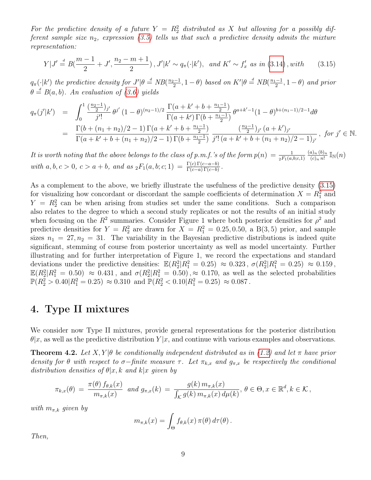For the predictive density of a future  $Y = R_2^2$  distributed as X but allowing for a possibly different sample size  $n_2$ , expression [\(3.5\)](#page-3-3) tells us that such a predictive density admits the mixture representation:

<span id="page-8-1"></span>
$$
Y|J' \stackrel{d}{=} B(\frac{m-1}{2} + J', \frac{n_2 - m + 1}{2}), J'|k' \sim q_\pi(\cdot|k'), \text{ and } K' \sim f'_x \text{ as in (3.14), with } (3.15)
$$

 $q_{\pi}(\cdot|k')$  the predictive density for  $J'|\theta \stackrel{d}{=} NB(\frac{n_2-1}{2})$  $\frac{m-1}{2}$ , 1 –  $\theta$ ) based on  $K'|\theta \stackrel{d}{=} NB(\frac{n_1-1}{2})$  $\frac{-1}{2}$ , 1 –  $\theta$ ) and prior  $\theta \stackrel{d}{=} B(a, b)$ . An evaluation of [\(3.6\)](#page-3-2) yields

$$
q_{\pi}(j'|k') = \int_0^1 \frac{\left(\frac{n_2-1}{2}\right)_{j'}}{j'!} \theta^{j'} (1-\theta)^{(n_2-1)/2} \frac{\Gamma(a+k'+b+\frac{n_1-1}{2})}{\Gamma(a+k')\Gamma(b+\frac{n_1-1}{2})} \theta^{a+k'-1} (1-\theta)^{b+(n_1-1)/2-1} d\theta
$$
  
= 
$$
\frac{\Gamma(b+(n_1+n_2)/2-1)\Gamma(a+k'+b+\frac{n_1-1}{2})}{\Gamma(a+k'+b+(n_1+n_2)/2-1)\Gamma(b+\frac{n_1-1}{2})} \frac{\left(\frac{n_2-1}{2}\right)_{j'} (a+k')_{j'}}{j'! (a+k'+b+(n_1+n_2)/2-1)_{j'}}, \text{ for } j' \in \mathbb{N}.
$$

It is worth noting that the above belongs to the class of p.m.f.'s of the form  $p(n) = \frac{1}{2F_1(a,b;c,1)}$  $(a)_n (b)_n$  $\frac{a)_{n}\, (b)_{n}}{(c)_{n}\, n!} \, \mathbb{I}_{\mathbb{N}}(n)$ with  $a, b, c > 0$ ,  $c > a + b$ , and as  ${}_2F_1(a, b; c; 1) = \frac{\Gamma(c)\Gamma(c-a-b)}{\Gamma(c-a)\Gamma(c-b)}$ .

As a complement to the above, we briefly illustrate the usefulness of the predictive density [\(3.15\)](#page-8-1) for visualizing how concordant or discordant the sample coefficients of determination  $X = R_1^2$  and  $Y = R_2^2$  can be when arising from studies set under the same conditions. Such a comparison also relates to the degree to which a second study replicates or not the results of an initial study when focusing on the  $R^2$  summaries. Consider Figure 1 where both posterior densities for  $\rho^2$  and predictive densities for  $Y = R_2^2$  are drawn for  $X = R_1^2 = 0.25, 0.50,$  a B(3,5) prior, and sample sizes  $n_1 = 27, n_2 = 31$ . The variability in the Bayesian predictive distributions is indeed quite significant, stemming of course from posterior uncertainty as well as model uncertainty. Further illustrating and for further interpretation of Figure 1, we record the expectations and standard deviations under the predictive densities:  $\mathbb{E}(R_2^2|R_1^2=0.25) \approx 0.323$ ,  $\sigma(R_2^2|R_1^2=0.25) \approx 0.159$ ,  $\mathbb{E}(R_2^2|R_1^2=0.50) \approx 0.431$ , and  $\sigma(R_2^2|R_1^2=0.50)$ ,  $\approx 0.170$ , as well as the selected probabilities  $\mathbb{P}(R_2^2 > 0.40 | R_1^2 = 0.25) \approx 0.310$  and  $\mathbb{P}(R_2^2 < 0.10 | R_1^2 = 0.25) \approx 0.087$ .

## 4. Type II mixtures

We consider now Type II mixtures, provide general representations for the posterior distribution  $\theta |x$ , as well as the predictive distribution  $Y|x$ , and continue with various examples and observations.

<span id="page-8-0"></span>**Theorem 4.2.** Let  $X, Y | \theta$  be conditionally independent distributed as in [\(1.2\)](#page-0-1) and let  $\pi$  have prior density for  $\theta$  with respect to  $\sigma$ -finite measure  $\tau$ . Let  $\pi_{k,x}$  and  $g_{\pi,x}$  be respectively the conditional distribution densities of  $\theta |x, k$  and  $k|x$  given by

$$
\pi_{k,x}(\theta) = \frac{\pi(\theta) f_{\theta,k}(x)}{m_{\pi,k}(x)} \text{ and } g_{\pi,x}(k) = \frac{g(k) m_{\pi,k}(x)}{\int_{\mathcal{K}} g(k) m_{\pi,k}(x) d\mu(k)}, \theta \in \Theta, x \in \mathbb{R}^d, k \in \mathcal{K},
$$

with  $m_{\pi,k}$  given by

$$
m_{\pi,k}(x) = \int_{\Theta} f_{\theta,k}(x) \,\pi(\theta) \,d\tau(\theta).
$$

Then,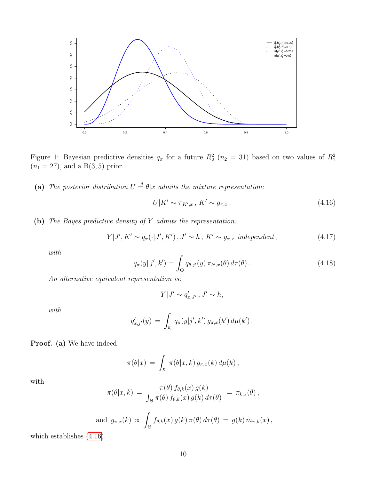

Figure 1: Bayesian predictive densities  $q_{\pi}$  for a future  $R_2^2$  ( $n_2 = 31$ ) based on two values of  $R_1^2$  $(n_1 = 27)$ , and a B $(3, 5)$  prior.

(a) The posterior distribution  $U = \theta | x$  admits the mixture representation:

<span id="page-9-0"></span>
$$
U|K' \sim \pi_{K',x}, K' \sim g_{\pi,x};\tag{4.16}
$$

(b) The Bayes predictive density of Y admits the representation:

<span id="page-9-2"></span>
$$
Y|J', K' \sim q_{\pi}(\cdot|J', K'), J' \sim h, K' \sim g_{\pi, x} \text{ independent},\tag{4.17}
$$

with

<span id="page-9-3"></span>
$$
q_{\pi}(y|j',k') = \int_{\Theta} q_{\theta,j'}(y) \, \pi_{k',x}(\theta) \, d\tau(\theta). \tag{4.18}
$$

An alternative equivalent representation is:

$$
Y|J' \sim q'_{x,J'}
$$
,  $J' \sim h$ ,

with

$$
q'_{x,j'}(y) = \int_{\mathcal{K}} q_{\pi}(y|j',k') g_{\pi,x}(k') d\mu(k') .
$$

Proof. (a) We have indeed

<span id="page-9-1"></span>
$$
\pi(\theta|x) = \int_{\mathcal{K}} \pi(\theta|x,k) g_{\pi,x}(k) d\mu(k),
$$

with

$$
\pi(\theta|x,k) = \frac{\pi(\theta) f_{\theta,k}(x) g(k)}{\int_{\Theta} \pi(\theta) f_{\theta,k}(x) g(k) d\tau(\theta)} = \pi_{k,x}(\theta),
$$

and 
$$
g_{\pi,x}(k) \propto \int_{\Theta} f_{\theta,k}(x) g(k) \pi(\theta) d\tau(\theta) = g(k) m_{\pi,k}(x)
$$
,

which establishes [\(4.16\)](#page-9-0).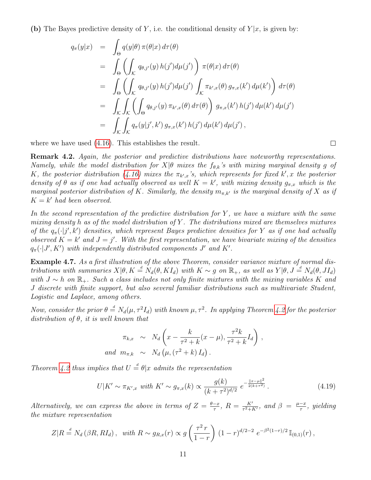(b) The Bayes predictive density of Y, i.e. the conditional density of  $Y|x$ , is given by:

$$
q_{\pi}(y|x) = \int_{\Theta} q(y|\theta) \pi(\theta|x) d\tau(\theta)
$$
  
\n
$$
= \int_{\Theta} \left( \int_{\mathcal{K}} q_{\theta,j'}(y) h(j') d\mu(j') \right) \pi(\theta|x) d\tau(\theta)
$$
  
\n
$$
= \int_{\Theta} \left( \int_{\mathcal{K}} q_{\theta,j'}(y) h(j') d\mu(j') \int_{\mathcal{K}} \pi_{k',x}(\theta) g_{\pi,x}(k') d\mu(k') \right) d\tau(\theta)
$$
  
\n
$$
= \int_{\mathcal{K}} \int_{\mathcal{K}} \left( \int_{\Theta} q_{\theta,j'}(y) \pi_{k',x}(\theta) d\tau(\theta) \right) g_{\pi,x}(k') h(j') d\mu(k') d\mu(j')
$$
  
\n
$$
= \int_{\mathcal{K}} \int_{\mathcal{K}} q_{\pi}(y|j',k') g_{\pi,x}(k') h(j') d\mu(k') d\mu(j'),
$$

where we have used [\(4.16\)](#page-9-0). This establishes the result.

 $\mathbf{r}$ 

Remark 4.2. Again, the posterior and predictive distributions have noteworthy representations. Namely, while the model distribution for  $X|\theta$  mixes the  $f_{\theta,k}$ 's with mixing marginal density g of K, the posterior distribution [\(4.16\)](#page-9-0) mixes the  $\pi_{k',x}$ 's, which represents for fixed k', x the posterior density of  $\theta$  as if one had actually observed as well  $K = k'$ , with mixing density  $g_{\pi,x}$  which is the marginal posterior distribution of K. Similarly, the density  $m_{\pi,k'}$  is the marginal density of X as if  $K = k'$  had been observed.

In the second representation of the predictive distribution for  $Y$ , we have a mixture with the same mixing density h as of the model distribution of Y. The distributions mixed are themselves mixtures of the  $q_{\pi}(\cdot|j',k')$  densities, which represent Bayes predictive densities for Y as if one had actually observed  $K = k'$  and  $J = j'$ . With the first representation, we have bivariate mixing of the densities  $q_{\pi}(\cdot | J', K')$  with independently distributed components  $J'$  and  $K'$ .

Example 4.7. As a first illustration of the above Theorem, consider variance mixture of normal distributions with summaries  $X|\theta, K \stackrel{d}{=} N_d(\theta, K I_d)$  with  $K \sim g$  on  $\mathbb{R}_+$ , as well as  $Y|\theta, J \stackrel{d}{=} N_d(\theta, J I_d)$ with  $J \sim h$  on  $\mathbb{R}_+$ . Such a class includes not only finite mixtures with the mixing variables K and J discrete with finite support, but also several familiar distributions such as multivariate Student, Logistic and Laplace, among others.

Now, consider the prior  $\theta = N_d(\mu, \tau^2 I_d)$  with known  $\mu, \tau^2$ . In applying Theorem [4.2](#page-8-0) for the posterior distribution of  $\theta$ , it is well known that

$$
\pi_{k,x} \sim N_d \left( x - \frac{k}{\tau^2 + k} (x - \mu), \frac{\tau^2 k}{\tau^2 + k} I_d \right),
$$
  
and  $m_{\pi,k} \sim N_d \left( \mu, (\tau^2 + k) I_d \right).$ 

Theorem [4.2](#page-8-0) thus implies that  $U = \theta | x$  admits the representation

$$
U|K' \sim \pi_{K',x} \text{ with } K' \sim g_{\pi,x}(k) \propto \frac{g(k)}{(k+\tau^2)^{d/2}} e^{-\frac{\|x-\mu\|^2}{2(k+\tau^2)}}. \tag{4.19}
$$

Alternatively, we can express the above in terms of  $Z = \frac{\theta - x}{\tau}$  $\frac{-x}{\tau}$ ,  $R = \frac{K'}{\tau^2 + 1}$  $\frac{K'}{\tau^2+K'}$ , and  $\beta = \frac{\mu-x}{\tau}$  $\frac{-x}{\tau}$ , yielding the mixture representation

<span id="page-10-0"></span>
$$
Z|R \stackrel{d}{=} N_d (\beta R, RI_d), \text{ with } R \sim g_{R,x}(r) \propto g\left(\frac{\tau^2 r}{1-r}\right) (1-r)^{d/2-2} e^{-\beta^2(1-r)/2} \mathbb{I}_{(0,1)}(r),
$$

 $\Box$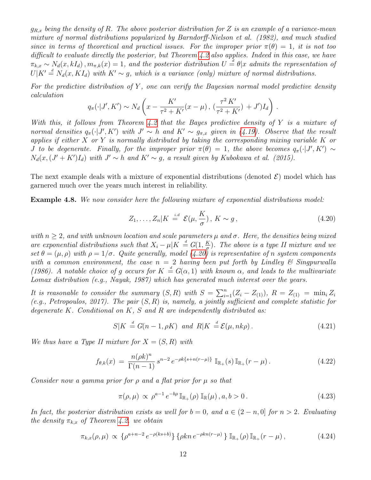$g_{R,x}$  being the density of R. The above posterior distribution for Z is an example of a variance-mean mixture of normal distributions popularized by Barndorff-Nielson et al. (1982), and much studied since in terms of theoretical and practical issues. For the improper prior  $\pi(\theta) = 1$ , it is not too difficult to evaluate directly the posterior, but Theorem [4.2](#page-8-0) also applies. Indeed in this case, we have  $\pi_{k,x} \sim N_d(x, kI_d), m_{\pi,k}(x) = 1$ , and the posterior distribution  $U = \theta | x$  admits the representation of  $U|K' \stackrel{d}{=} N_d(x, K I_d)$  with  $K' \sim g$ , which is a variance (only) mixture of normal distributions.

For the predictive distribution of Y, one can verify the Bayesian normal model predictive density calculation

$$
q_{\pi}(\cdot|J', K') \sim N_d \left( x - \frac{K'}{\tau^2 + K'}(x - \mu), \left( \frac{\tau^2 K'}{\tau^2 + K'} \right) + J' \right) I_d \right).
$$

With this, it follows from Theorem [4.2](#page-8-0) that the Bayes predictive density of Y is a mixture of normal densities  $q_{\pi}(\cdot|J', K')$  with  $J' \sim h$  and  $K' \sim g_{\pi,x}$  given in [\(4.19\)](#page-9-1). Observe that the result applies if either  $X$  or  $Y$  is normally distributed by taking the corresponding mixing variable  $K$  or *J* to be degenerate. Finally, for the improper prior  $\pi(\theta) = 1$ , the above becomes  $q_{\pi}(\cdot|J', K') \sim$  $N_d(x, (J' + K')I_d)$  with  $J' \sim h$  and  $K' \sim g$ , a result given by Kubokawa et al. (2015).

The next example deals with a mixture of exponential distributions (denoted  $\mathcal{E}$ ) model which has garnered much over the years much interest in reliability.

Example 4.8. We now consider here the following mixture of exponential distributions model:

$$
Z_1, \ldots, Z_n | K \stackrel{i.d}{=} \mathcal{E}(\mu, \frac{K}{\sigma}), \ K \sim g \,, \tag{4.20}
$$

with  $n > 2$ , and with unknown location and scale parameters  $\mu$  and  $\sigma$ . Here, the densities being mixed are exponential distributions such that  $X_i - \mu | K = G(1, \frac{K}{\sigma})$  $\frac{K}{\sigma}$ ). The above is a type II mixture and we set  $\theta = (\mu, \rho)$  with  $\rho = 1/\sigma$ . Quite generally, model [\(4.20\)](#page-10-0) is representative of n system components with a common environment, the case  $n = 2$  having been put forth by Lindley & Singpurwalla (1986). A notable choice of g occurs for  $K = G(\alpha, 1)$  with known  $\alpha$ , and leads to the multivariate Lomax distribution (e.g., Nayak, 1987) which has generated much interest over the years.

It is reasonable to consider the summary  $(S, R)$  with  $S = \sum_{i=1}^{n} (Z_i - Z_{(1)})$ ,  $R = Z_{(1)} = \min_i Z_i$ (e.g., Petropoulos, 2017). The pair  $(S, R)$  is, namely, a jointly sufficient and complete statistic for degenerate  $K$ . Conditional on  $K$ ,  $S$  and  $R$  are independently distributed as:

<span id="page-11-2"></span>
$$
S|K \stackrel{d}{=} G(n-1, \rho K) \quad and \quad R|K \stackrel{d}{=} \mathcal{E}(\mu, nk\rho). \tag{4.21}
$$

We thus have a Type II mixture for  $X = (S, R)$  with

<span id="page-11-0"></span>
$$
f_{\theta,k}(x) = \frac{n(\rho k)^n}{\Gamma(n-1)} s^{n-2} e^{-\rho k \{s+n(r-\mu)\}} \mathbb{I}_{\mathbb{R}_+}(s) \mathbb{I}_{\mathbb{R}_+}(r-\mu).
$$
 (4.22)

Consider now a gamma prior for  $\rho$  and a flat prior for  $\mu$  so that

<span id="page-11-1"></span>
$$
\pi(\rho,\mu) \propto \rho^{a-1} e^{-b\rho} \mathbb{I}_{\mathbb{R}_+}(\rho) \mathbb{I}_{\mathbb{R}}(\mu), a, b > 0.
$$
\n(4.23)

In fact, the posterior distribution exists as well for  $b = 0$ , and  $a \in (2 - n, 0]$  for  $n > 2$ . Evaluating the density  $\pi_{k,x}$  of Theorem [4.2.](#page-8-0) we obtain

$$
\pi_{k,x}(\rho,\mu) \propto \left\{ \rho^{a+n-2} \, e^{-\rho(ks+b)} \right\} \left\{ \rho k n \, e^{-\rho k n(r-\mu)} \right\} \mathbb{I}_{\mathbb{R}_+}(\rho) \, \mathbb{I}_{\mathbb{R}_+}(r-\mu) \,, \tag{4.24}
$$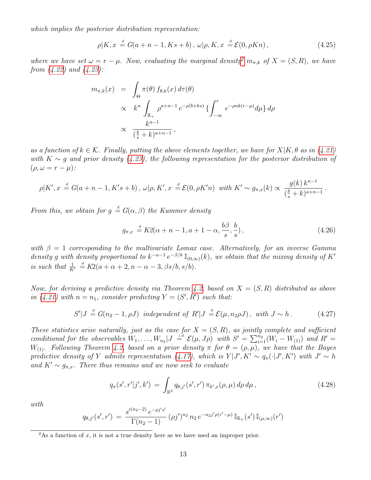which implies the posterior distribution representation:

$$
\rho|K, x \stackrel{d}{=} G(a+n-1, Ks+b), \, \omega|\rho, K, x \stackrel{d}{=} \mathcal{E}(0, \rho Kn), \tag{4.25}
$$

where we have set  $\omega = r - \mu$ . Now, evaluating the marginal density<sup>[2](#page-12-0)</sup>  $m_{\pi,k}$  of  $X = (S, R)$ , we have from [\(4.22\)](#page-11-0) and [\(4.23\)](#page-11-1):

$$
m_{\pi,k}(x) = \int_{\Theta} \pi(\theta) f_{\theta,k}(x) d\tau(\theta)
$$
  
 
$$
\propto k^n \int_{\mathbb{R}_+} \rho^{a+n-1} e^{-\rho(b+ks)} \left\{ \int_{-\infty}^r e^{-\rho nk(r-\mu)} d\mu \right\} d\rho
$$
  
 
$$
\propto \frac{k^{n-1}}{(\frac{b}{s}+k)^{a+n-1}},
$$

as a function of  $k \in \mathcal{K}$ . Finally, putting the above elements together, we have for  $X|K, \theta$  as in [\(4.21\)](#page-11-2) with  $K \sim g$  and prior density [\(4.23\)](#page-11-1), the following representation for the posterior distribution of  $(\rho, \omega = r - \mu)$ :

$$
\rho|K', x \stackrel{d}{=} G(a+n-1, K's+b), \ \omega|\rho, K', x \stackrel{d}{=} \mathcal{E}(0, \rho K'n) \ \ with \ K' \sim g_{\pi,x}(k) \propto \frac{g(k)k^{n-1}}{(\frac{b}{s}+k)^{a+n-1}}.
$$

From this, we obtain for  $g \stackrel{d}{=} G(\alpha, \beta)$  the Kummer density

$$
g_{\pi,x} \stackrel{d}{=} K2(\alpha + n - 1, a + 1 - \alpha, \frac{b\beta}{s}, \frac{b}{s})\,,\tag{4.26}
$$

with  $\beta = 1$  corresponding to the multivariate Lomax case. Alternatively, for an inverse Gamma density g with density proportional to  $k^{-\alpha-1}e^{-\beta/k}\mathbb{I}_{(0,\infty)}(k)$ , we obtain that the mixing density of K' is such that  $\frac{1}{K'} \stackrel{d}{=} K2(a+\alpha+2, n-\alpha-3, \beta s/b, s/b).$ 

Now, for deriving a predictive density via Theorem [4.2,](#page-8-0) based on  $X = (S, R)$  distributed as above in [\(4.21\)](#page-11-2) with  $n = n_1$ , consider predicting  $Y = (S', R')$  such that:

$$
S'|J \stackrel{d}{=} G(n_2 - 1, \rho J) \text{ independent of } R'|J \stackrel{d}{=} \mathcal{E}(\mu, n_2 \rho J), \text{ with } J \sim h. \tag{4.27}
$$

These statistics arise naturally, just as the case for  $X = (S, R)$ , as jointly complete and sufficient conditional for the observables  $W_1, \ldots, W_{n_2} | J = \mathcal{E}(\mu, J\rho)$  with  $S' = \sum_{i=1}^{n_2} (W_i - W_{(1)})$  and  $R' =$ W<sub>(1)</sub>. Following Theorem [4.2,](#page-8-0) based on a prior density  $\pi$  for  $\theta = (\rho, \mu)$ , we have that the Bayes predictive density of Y admits representation [\(4.17\)](#page-9-2), which is  $Y|J', K' \sim q_{\pi}(\cdot|J', K')$  with  $J' \sim h$ and  $K' \sim g_{\pi,x}$ . There thus remains and we now seek to evaluate

<span id="page-12-1"></span>
$$
q_{\pi}(s',r'|j',k') = \int_{\mathbb{R}^2} q_{\theta,j'}(s',r') \, \pi_{k',x}(\rho,\mu) \, d\rho \, d\mu \,, \tag{4.28}
$$

with

<span id="page-12-2"></span>
$$
q_{\theta,j'}(s',r') = \frac{s'^{(n_2-2)} e^{-\rho j' s'}}{\Gamma(n_2-1)} (\rho j')^{n_2} n_2 e^{-n_2 j' \rho(r'-\mu)} \mathbb{I}_{\mathbb{R}_+}(s') \mathbb{I}_{(\mu,\infty)}(r')
$$

<span id="page-12-0"></span><sup>&</sup>lt;sup>2</sup>As a function of x, it is not a true density here as we have used an improper prior.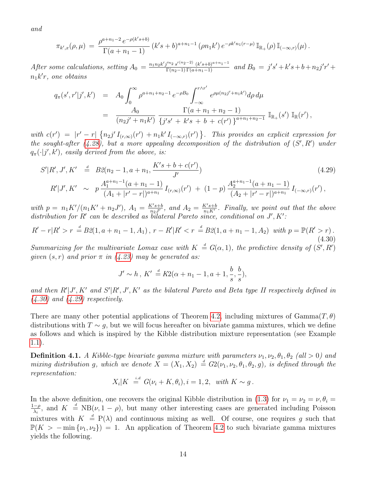and

$$
\pi_{k',x}(\rho,\mu) = \frac{\rho^{a+n_1-2} e^{-\rho(k's+b)}}{\Gamma(a+n_1-1)} (k's+b)^{a+n_1-1} (\rho n_1 k') e^{-\rho k'n_1(r-\mu)} \mathbb{I}_{\mathbb{R}_+}(\rho) \mathbb{I}_{(-\infty,r)}(\mu).
$$

After some calculations, setting  $A_0 = \frac{n_1 n_2 k' j'^{n_2} s'^{(n_2-2)} (k' s + b)^{a+n_1-1}}{\Gamma(n_2-1) \Gamma(a+n_1-1)}$  and  $B_0 = j' s' + k' s + b + n_2 j' r' +$  $n_1k'r$ , one obtains

$$
q_{\pi}(s',r'|j',k') = A_0 \int_0^{\infty} \rho^{a+n_1+n_2-1} e^{-\rho B_0} \int_{-\infty}^{r \wedge r'} e^{\rho \mu(n_2 j'+n_1 k')} d\rho d\mu
$$
  
= 
$$
\frac{A_0}{(n_2 j'+n_1 k')} \frac{\Gamma(a+n_1+n_2-1)}{\{j's'+k's+b+c(r')\}^{a+n_1+n_2-1}} \mathbb{I}_{\mathbb{R}_+}(s') \mathbb{I}_{\mathbb{R}}(r'),
$$

with  $c(r') = |r' - r| \{n_2 j' I_{(r,\infty)}(r') + n_1 k' I_{(-\infty,r)}(r') \}$ . This provides an explicit expression for the sought-after  $(4.28)$ , but a more appealing decomposition of the distribution of  $(S', R')$  under  $q_{\pi}(\cdot|j',k')$ , easily derived from the above, is:

$$
S'|R', J', K' \stackrel{d}{=} B\mathcal{Q}(n_2 - 1, a + n_1, \frac{K's + b + c(r')}{J'})
$$
\n
$$
R'|J', K' \sim p \frac{A_1^{a+n_1-1}(a + n_1 - 1)}{(A_1 + |r' - r|)^{a+n_1}} I_{(r,\infty)}(r') + (1 - p) \frac{A_2^{a+n_1-1}(a + n_1 - 1)}{(A_2 + |r' - r|)^{a+n_1}} I_{(-\infty,r)}(r'),
$$
\n
$$
(4.29)
$$

with  $p = n_1 K'/(n_1 K' + n_2 J')$ ,  $A_1 = \frac{K' s + b}{n_2 J'}$  $\frac{K's+b}{n_2J'}$ , and  $A_2 = \frac{K's+b}{n_1K'}$  $\frac{K's+b}{n_1K'}$ . Finally, we point out that the above distribution for R' can be described as bilateral Pareto since, conditional on  $J', K'$ :

<span id="page-13-0"></span>
$$
R'-r|R' > r \stackrel{d}{=} B2(1, a+n_1-1, A_1), r - R'|R' < r \stackrel{d}{=} B2(1, a+n_1-1, A_2) \text{ with } p = \mathbb{P}(R' > r).
$$
\n(4.30)

Summarizing for the multivariate Lomax case with  $K = G(\alpha, 1)$ , the predictive density of  $(S', R')$ given  $(s, r)$  and prior  $\pi$  in  $(4.23)$  may be generated as:

$$
J' \sim h, K' \stackrel{d}{=} K2(\alpha + n_1 - 1, a + 1, \frac{b}{s}, \frac{b}{s}),
$$

and then  $R'|J', K'$  and  $S'|R', J', K'$  as the bilateral Pareto and Beta type II respectively defined in  $(4.30)$  and  $(4.29)$  respectively.

There are many other potential applications of Theorem [4.2,](#page-8-0) including mixtures of  $Gamma(T, \theta)$ distributions with  $T \sim q$ , but we will focus hereafter on bivariate gamma mixtures, which we define as follows and which is inspired by the Kibble distribution mixture representation (see Example [1.1\)](#page-1-0).

<span id="page-13-1"></span>**Definition 4.1.** A Kibble-type bivariate gamma mixture with parameters  $\nu_1, \nu_2, \theta_1, \theta_2$  (all  $> 0$ ) and mixing distribution g, which we denote  $X = (X_1, X_2) \stackrel{d}{=} G_2(\nu_1, \nu_2, \theta_1, \theta_2, g)$ , is defined through the representation:

$$
X_i|K = G(\nu_i + K, \theta_i), i = 1, 2, \text{ with } K \sim g.
$$

In the above definition, one recovers the original Kibble distribution in [\(1.3\)](#page-1-1) for  $\nu_1 = \nu_2 = \nu, \theta_i =$ <br> $\frac{1-\rho}{2}$  and  $K = \frac{d}{2} N R(\nu, 1-\rho)$  but many other interesting cases are generated including Poisson  $\frac{-\rho}{\lambda_i}$ , and  $K = NB(\nu, 1 - \rho)$ , but many other interesting cases are generated including Poisson mixtures with  $K \stackrel{d}{=} P(\lambda)$  and continuous mixing as well. Of course, one requires g such that  $\mathbb{P}(K > -\min{\{\nu_1,\nu_2\}}) = 1$ . An application of Theorem [4.2](#page-8-0) to such bivariate gamma mixtures yields the following.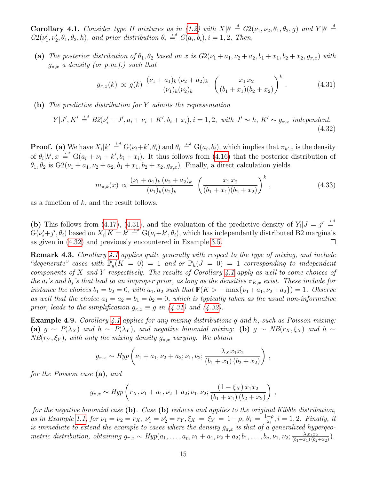<span id="page-14-2"></span>**Corollary 4.1.** Consider type II mixtures as in [\(1.2\)](#page-0-1) with  $X|\theta = G_2(\nu_1, \nu_2, \theta_1, \theta_2, g)$  and  $Y|\theta =$  $G_2(\nu'_1, \nu'_2, \theta_1, \theta_2, h)$ , and prior distribution  $\theta_i \stackrel{i.d}{=} G(a_i, b_i), i = 1, 2,$  Then,

(a) The posterior distribution of  $\theta_1, \theta_2$  based on x is  $G_2(\nu_1 + a_1, \nu_2 + a_2, b_1 + x_1, b_2 + x_2, g_{\pi,x})$  with  $g_{\pi,x}$  a density (or p.m.f.) such that

<span id="page-14-0"></span>
$$
g_{\pi,x}(k) \propto g(k) \frac{(\nu_1 + a_1)_k (\nu_2 + a_2)_k}{(\nu_1)_k (\nu_2)_k} \left( \frac{x_1 x_2}{(b_1 + x_1)(b_2 + x_2)} \right)^k.
$$
 (4.31)

(b) The predictive distribution for Y admits the representation

<span id="page-14-1"></span>
$$
Y|J', K' \stackrel{i.d}{=} B2(\nu'_i + J', a_i + \nu_i + K', b_i + x_i), i = 1, 2, \text{ with } J' \sim h, K' \sim g_{\pi, x} \text{ independent.}
$$
\n(4.32)

**Proof.** (a) We have  $X_i|k' \stackrel{i.d}{=} G(\nu_i+k',\theta_i)$  and  $\theta_i \stackrel{i.d}{=} G(a_i,b_i)$ , which implies that  $\pi_{k',x}$  is the density of  $\theta_i|k', x \stackrel{i.d}{=} G(a_i + \nu_i + k', b_i + x_i)$ . It thus follows from [\(4.16\)](#page-9-0) that the posterior distribution of  $\theta_1, \theta_2$  is  $G_2(\nu_1 + a_1, \nu_2 + a_2, b_1 + x_1, b_2 + x_2, g_{\pi,x})$ . Finally, a direct calculation yields

$$
m_{\pi,k}(x) \propto \frac{(\nu_1 + a_1)_k (\nu_2 + a_2)_k}{(\nu_1)_k (\nu_2)_k} \left( \frac{x_1 x_2}{(b_1 + x_1)(b_2 + x_2)} \right)^k, \tag{4.33}
$$

as a function of  $k$ , and the result follows.

(b) This follows from [\(4.17\)](#page-9-2), [\(4.31\)](#page-14-0), and the evaluation of the predictive density of  $Y_i|J = j' \stackrel{i.d}{=}$  $G(\nu'_i+j',\theta_i)$  based on  $X_i|K=k'$  =  $k'$  G( $\nu_i+k',\theta_i$ ), which has independently distributed B2 marginals as given in [\(4.32\)](#page-14-1) and previously encountered in Example [3.5.](#page-6-2)  $\Box$ 

Remark 4.3. Corollary [4.1](#page-14-2) applies quite generally with respect to the type of mixing, and include "degenerate" cases with  $\mathbb{P}_{q}(K = 0) = 1$  and-or  $\mathbb{P}_{h}(J = 0) = 1$  corresponding to independent components of X and Y respectively. The results of Corollary [4.1](#page-14-2) apply as well to some choices of the  $a_i$ 's and  $b_j$ 's that lead to an improper prior, as long as the densities  $\pi_{K,x}$  exist. These include for instance the choices  $b_1 = b_2 = 0$ , with  $a_1, a_2$  such that  $\mathbb{P}(K > -\max\{\nu_1 + a_1, \nu_2 + a_2\}) = 1$ . Observe as well that the choice  $a_1 = a_2 = b_1 = b_2 = 0$ , which is typically taken as the usual non-informative prior, leads to the simplification  $g_{\pi,x} \equiv g$  in [\(4.31\)](#page-14-0) and [\(4.32\)](#page-14-1).

<span id="page-14-3"></span>Example 4.9. Corollary [4.1](#page-14-2) applies for any mixing distributions g and h, such as Poisson mixing: (a)  $g \sim P(\lambda_X)$  and  $h \sim P(\lambda_Y)$ , and negative binomial mixing: (b)  $g \sim NB(r_X, \xi_X)$  and  $h \sim$  $NB(r_Y, \xi_Y)$ , with only the mixing density  $g_{\pi,x}$  varying. We obtain

$$
g_{\pi,x} \sim Hyp\left(\nu_1 + a_1, \nu_2 + a_2; \nu_1, \nu_2; \frac{\lambda_X x_1 x_2}{(b_1 + x_1)(b_2 + x_2)}\right)
$$
,

for the Poisson case (a), and

$$
g_{\pi,x} \sim Hyp\left(r_X, \nu_1 + a_1, \nu_2 + a_2; \nu_1, \nu_2; \frac{(1 - \xi_X) x_1 x_2}{(b_1 + x_1) (b_2 + x_2)}\right)
$$
,

for the negative binomial case  $(b)$ . Case  $(b)$  reduces and applies to the original Kibble distribution, as in Example [1.1,](#page-1-0) for  $\nu_1 = \nu_2 = r_X$ ,  $\nu'_1 = \nu'_2 = r_Y$ ,  $\xi_X = \xi_Y = 1 - \rho$ ,  $\theta_i = \frac{1 - \rho}{\lambda_i}$  $\frac{-\rho}{\lambda_i}$ ,  $i = 1, 2$ . Finally, it is immediate to extend the example to cases where the density  $g_{\pi,x}$  is that of a generalized hypergeometric distribution, obtaining  $g_{\pi,x} \sim Hyp(a_1, \ldots, a_p, \nu_1 + a_1, \nu_2 + a_2; b_1, \ldots, b_q, \nu_1, \nu_2; \frac{\lambda x_1 x_2}{(b_1 + x_1)(b_2 + b_2)}$  $\frac{\lambda x_1 x_2}{(b_1+x_1)(b_2+x_2)}$ .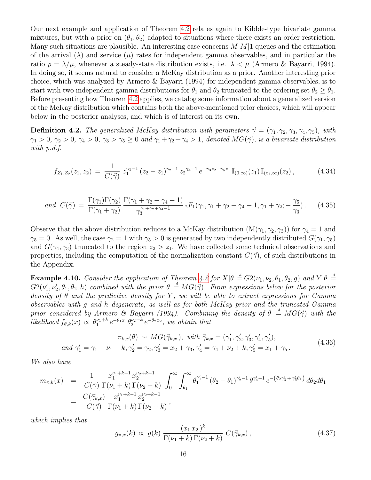Our next example and application of Theorem [4.2](#page-8-0) relates again to Kibble-type bivariate gamma mixtures, but with a prior on  $(\theta_1, \theta_2)$  adapted to situations where there exists an order restriction. Many such situations are plausible. An interesting case concerns  $M|M|1$  queues and the estimation of the arrival  $(\lambda)$  and service  $(\mu)$  rates for independent gamma observables, and in particular the ratio  $\rho = \lambda/\mu$ , whenever a steady-state distribution exists, i.e.  $\lambda < \mu$  (Armero & Bayarri, 1994). In doing so, it seems natural to consider a McKay distribution as a prior. Another interesting prior choice, which was analyzed by Armero & Bayarri (1994) for independent gamma observables, is to start with two independent gamma distributions for  $\theta_1$  and  $\theta_2$  truncated to the ordering set  $\theta_2 \ge \theta_1$ . Before presenting how Theorem [4.2](#page-8-0) applies, we catalog some information about a generalized version of the McKay distribution which contains both the above-mentioned prior choices, which will appear below in the posterior analyses, and which is of interest on its own.

**Definition 4.2.** The generalized McKay distribution with parameters  $\vec{\gamma} = (\gamma_1, \gamma_2, \gamma_3, \gamma_4, \gamma_5)$ , with  $\gamma_1 > 0$ ,  $\gamma_2 > 0$ ,  $\gamma_4 > 0$ ,  $\gamma_3 > \gamma_5 \ge 0$  and  $\gamma_1 + \gamma_2 + \gamma_4 > 1$ , denoted  $MG(\vec{\gamma})$ , is a bivariate distribution with p.d.f.

<span id="page-15-3"></span>
$$
f_{Z_1, Z_2}(z_1, z_2) = \frac{1}{C(\vec{\gamma})} z_1^{\gamma_1 - 1} (z_2 - z_1)^{\gamma_2 - 1} z_2^{\gamma_4 - 1} e^{-\gamma_3 z_2 - \gamma_5 z_1} \mathbb{I}_{(0, \infty)}(z_1) \mathbb{I}_{(z_1, \infty)}(z_2), \tag{4.34}
$$

<span id="page-15-0"></span>and 
$$
C(\vec{\gamma}) = \frac{\Gamma(\gamma_1)\Gamma(\gamma_2)}{\Gamma(\gamma_1 + \gamma_2)} \frac{\Gamma(\gamma_1 + \gamma_2 + \gamma_4 - 1)}{\gamma_3^{\gamma_1 + \gamma_2 + \gamma_4 - 1}} {}_2F_1(\gamma_1, \gamma_1 + \gamma_2 + \gamma_4 - 1, \gamma_1 + \gamma_2; -\frac{\gamma_5}{\gamma_3}).
$$
 (4.35)

Observe that the above distribution reduces to a McKay distribution  $(M(\gamma_1, \gamma_2, \gamma_3))$  for  $\gamma_4 = 1$  and  $\gamma_5 = 0$ . As well, the case  $\gamma_2 = 1$  with  $\gamma_5 > 0$  is generated by two independently distributed  $G(\gamma_1, \gamma_5)$ and  $G(\gamma_4, \gamma_3)$  truncated to the region  $z_2 > z_1$ . We have collected some technical observations and properties, including the computation of the normalization constant  $C(\vec{\gamma})$ , of such distributions in the Appendix.

**Example 4.10.** Consider the application of Theorem [4.2](#page-8-0) for  $X|\theta = G2(\nu_1, \nu_2, \theta_1, \theta_2, g)$  and  $Y|\theta =$  $G2(\nu'_1,\nu'_2,\theta_1,\theta_2,h)$  combined with the prior  $\theta = MG(\vec{\gamma})$ . From expressions below for the posterior density of  $\theta$  and the predictive density for Y, we will be able to extract expressions for Gamma observables with g and h degenerate, as well as for both McKay prior and the truncated Gamma prior considered by Armero & Bayarri (1994). Combining the density of  $\theta = MG(\vec{\gamma})$  with the likelihood  $f_{\theta,k}(x) \propto \theta_1^{\nu_1+k} e^{-\theta_1 x_1} \theta_2^{\nu_2+k} e^{-\theta_2 x_2}$ , we obtain that

$$
\pi_{k,x}(\theta) \sim MG(\vec{\gamma}_{k,x}), \text{ with } \vec{\gamma}_{k,x} = (\gamma'_1, \gamma'_2, \gamma'_3, \gamma'_4, \gamma'_5),
$$
  
and  $\gamma'_1 = \gamma_1 + \nu_1 + k, \gamma'_2 = \gamma_2, \gamma'_3 = x_2 + \gamma_3, \gamma'_4 = \gamma_4 + \nu_2 + k, \gamma'_5 = x_1 + \gamma_5.$  (4.36)

<span id="page-15-1"></span>We also have

$$
m_{\pi,k}(x) = \frac{1}{C(\vec{\gamma})} \frac{x_1^{\nu_1+k-1} x_2^{\nu_2+k-1}}{\Gamma(\nu_1+k) \Gamma(\nu_2+k)} \int_0^\infty \int_{\theta_1}^\infty \theta_1^{\gamma_1'-1} (\theta_2 - \theta_1)^{\gamma_2'-1} \theta^{\gamma_4'-1} e^{-\left(\theta_2 \gamma_3' + \gamma_5'\theta_1\right)} d\theta_2 d\theta_1
$$
  
= 
$$
\frac{C(\vec{\gamma}_{k,x})}{C(\vec{\gamma})} \frac{x_1^{\nu_1+k-1} x_2^{\nu_2+k-1}}{\Gamma(\nu_1+k) \Gamma(\nu_2+k)},
$$

which implies that

<span id="page-15-2"></span>
$$
g_{\pi,x}(k) \propto g(k) \, \frac{(x_1 \, x_2)^k}{\Gamma(\nu_1 + k) \, \Gamma(\nu_2 + k)} \, C(\vec{\gamma}_{k,x}), \tag{4.37}
$$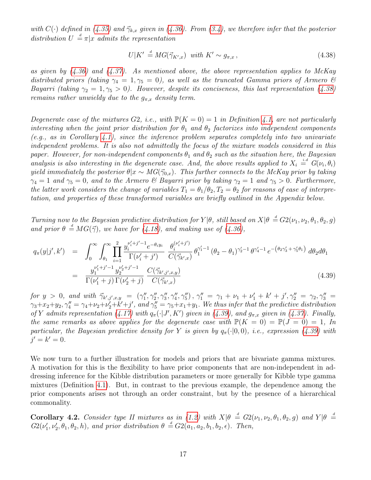with  $C(\cdot)$  defined in [\(4.35\)](#page-15-0) and  $\vec{\gamma}_{k,x}$  given in [\(4.36\)](#page-15-1). From [\(3.4\)](#page-3-1), we therefore infer that the posterior distribution  $U \stackrel{d}{=} \pi |x$  admits the representation

<span id="page-16-0"></span>
$$
U|K' \stackrel{d}{=} MG(\vec{\gamma}_{K',x}) \text{ with } K' \sim g_{\pi,x} \,,\tag{4.38}
$$

as given by  $(4.36)$  and  $(4.37)$ . As mentioned above, the above representation applies to McKay distributed priors (taking  $\gamma_4 = 1, \gamma_5 = 0$ ), as well as the truncated Gamma priors of Armero & Bayarri (taking  $\gamma_2 = 1, \gamma_5 > 0$ ). However, despite its conciseness, this last representation [\(4.38\)](#page-16-0) remains rather unwieldy due to the  $g_{\pi,x}$  density term.

Degenerate case of the mixtures G2, i.e., with  $\mathbb{P}(K = 0) = 1$  in Definition [4.1,](#page-13-1) are not particularly interesting when the joint prior distribution for  $\theta_1$  and  $\theta_2$  factorizes into independent components  $(e.g., as in Corollary 4.1), since the inference problem separates completely into two univariate$  $(e.g., as in Corollary 4.1), since the inference problem separates completely into two univariate$  $(e.g., as in Corollary 4.1), since the inference problem separates completely into two univariate$ independent problems. It is also not admittedly the focus of the mixture models considered in this paper. However, for non-independent components  $\theta_1$  and  $\theta_2$  such as the situation here, the Bayesian analysis is also interesting in the degenerate case. And, the above results applied to  $X_i \stackrel{i.d}{=} G(\nu_i, \theta_i)$ yield immediately the posterior  $\theta|x \sim MG(\vec{\gamma}_{0.x})$ . This further connects to the McKay prior by taking  $\gamma_4 = 1$  and  $\gamma_5 = 0$ , and to the Armero & Bayarri prior by taking  $\gamma_2 = 1$  and  $\gamma_5 > 0$ . Furthermore, the latter work considers the change of variables  $T_1 = \theta_1/\theta_2$ ,  $T_2 = \theta_2$  for reasons of ease of interpretation, and properties of these transformed variables are briefly outlined in the Appendix below.

Turning now to the Bayesian predictive distribution for  $Y|\theta$ , still based on  $X|\theta \triangleq G2(\nu_1, \nu_2, \theta_1, \theta_2, g)$ and prior  $\theta \stackrel{d}{=} MG(\vec{\gamma})$ , we have for [\(4.18\)](#page-9-3), and making use of [\(4.36\)](#page-15-1),

<span id="page-16-1"></span>
$$
q_{\pi}(y|j',k') = \int_0^{\infty} \int_{\theta_1}^{\infty} \prod_{i=1}^2 \frac{y_i^{\nu_i'+j'-1} e^{-\theta_i y_i}}{\Gamma(\nu_i'+j')} \frac{\theta_i^{(\nu_i'+j')}}{C(\vec{\gamma}_{k',x})} \theta_1^{\gamma_1'-1} (\theta_2 - \theta_1)^{\gamma_2'-1} \theta^{\gamma_4'-1} e^{-(\theta_2 \gamma_3'+\gamma_5'\theta_1)} d\theta_2 d\theta_1
$$
  

$$
= \frac{y_1^{\nu_1'+j'-1} y_2^{\nu_2'+j'-1}}{\Gamma(\nu_1'+j)\Gamma(\nu_2'+j)} \frac{C(\vec{\gamma}_{k',j',x,y})}{C(\vec{\gamma}_{k',x})}
$$
(4.39)

 $for \, y > 0, \, and \, with \, \vec{\gamma}_{k',j',x,y} = (\gamma''_1, \gamma''_2, \gamma''_3, \gamma''_4, \gamma''_5), \, \gamma''_1 = \gamma_1 + \nu_1 + \nu'_1 + k' + j', \gamma''_2 = \gamma_2, \gamma''_3 =$  $\gamma_3+x_2+y_2, \gamma''_4=\gamma_4+\nu_2+\nu'_2+k'+j',$  and  $\gamma''_5=\gamma_5+x_1+y_1$ . We thus infer that the predictive distribution of Y admits representation [\(4.17\)](#page-9-2) with  $q_{\pi}(\cdot | J', K')$  given in [\(4.39\)](#page-16-1), and  $g_{\pi,x}$  given in [\(4.37\)](#page-15-2). Finally, the same remarks as above applies for the degenerate case with  $\mathbb{P}(K = 0) = \mathbb{P}(J = 0) = 1$ , In particular, the Bayesian predictive density for Y is given by  $q_{\pi}(\cdot|0,0)$ , i.e., expression [\(4.39\)](#page-16-1) with  $j' = k' = 0.$ 

We now turn to a further illustration for models and priors that are bivariate gamma mixtures. A motivation for this is the flexibility to have prior components that are non-independent in addressing inference for the Kibble distribution parameters or more generally for Kibble type gamma mixtures (Definition [4.1\)](#page-13-1). But, in contrast to the previous example, the dependence among the prior components arises not through an order constraint, but by the presence of a hierarchical commonality.

<span id="page-16-2"></span>**Corollary 4.2.** Consider type II mixtures as in [\(1.2\)](#page-0-1) with  $X|\theta = G_2(\nu_1, \nu_2, \theta_1, \theta_2, g)$  and  $Y|\theta =$  $G_2(\nu'_1, \nu'_2, \theta_1, \theta_2, h)$ , and prior distribution  $\theta \stackrel{d}{=} G_2(a_1, a_2, b_1, b_2, \epsilon)$ . Then,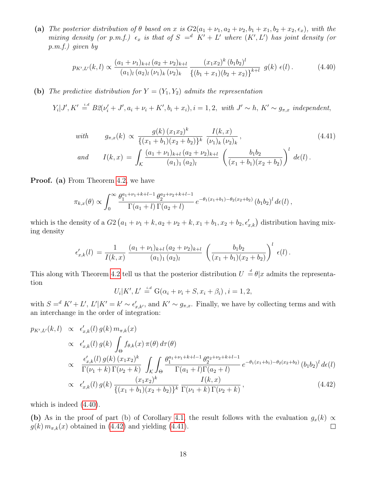(a) The posterior distribution of  $\theta$  based on x is  $G2(a_1 + \nu_1, a_2 + \nu_2, b_1 + x_1, b_2 + x_2, \epsilon_x)$ , with the mixing density (or p.m.f.)  $\epsilon_x$  is that of  $S = d$   $K' + L'$  where  $(K', L')$  has joint density (or p.m.f.) given by

<span id="page-17-0"></span>
$$
p_{K',L'}(k,l) \propto \frac{(a_1 + \nu_1)_{k+l} (a_2 + \nu_2)_{k+l}}{(a_1)_l (a_2)_l (\nu_1)_k (\nu_2)_k} \frac{(x_1 x_2)^k (b_1 b_2)^l}{\{(b_1 + x_1)(b_2 + x_2)\}^{k+l}} g(k) \epsilon(l). \tag{4.40}
$$

(b) The predictive distribution for  $Y = (Y_1, Y_2)$  admits the representation

 $Y_i|J', K' \stackrel{i.d}{=} B2(\nu'_i+J', a_i+\nu_i+K', b_i+x_i), i=1,2, \text{ with } J' \sim h, K' \sim g_{\pi,x} \text{ independent},$ 

<span id="page-17-2"></span>
$$
with \t g_{\pi,x}(k) \propto \frac{g(k) (x_1 x_2)^k}{\{(x_1 + b_1)(x_2 + b_2)\}^k} \frac{I(k, x)}{(\nu_1)_k (\nu_2)_k},
$$
\n
$$
and \t I(k, x) = \int_{\mathcal{K}} \frac{(a_1 + \nu_1)_{k+l} (a_2 + \nu_2)_{k+l}}{(a_1)_1 (a_2)_l} \left(\frac{b_1 b_2}{(x_1 + b_1)(x_2 + b_2)}\right)^l d\epsilon(l).
$$
\n(4.41)

**Proof.** (a) From Theorem [4.2,](#page-8-0) we have

<span id="page-17-1"></span>
$$
\pi_{k,x}(\theta) \propto \int_0^\infty \frac{\theta_1^{a_1+\nu_1+k+l-1} \theta_2^{a_2+\nu_2+k+l-1}}{\Gamma(a_1+l)\Gamma(a_2+l)} e^{-\theta_1(x_1+b_1)-\theta_2(x_2+b_2)} (b_1b_2)^l d\epsilon(l),
$$

which is the density of a  $G_2(a_1 + \nu_1 + k, a_2 + \nu_2 + k, x_1 + b_1, x_2 + b_2, \epsilon'_{x,k})$  distribution having mixing density

$$
\epsilon'_{x,k}(l) = \frac{1}{I(k,x)} \frac{(a_1 + \nu_1)_{k+l} (a_2 + \nu_2)_{k+l}}{(a_1)_1 (a_2)_l} \left(\frac{b_1 b_2}{(x_1 + b_1)(x_2 + b_2)}\right)^l \epsilon(l).
$$

This along with Theorem [4.2](#page-8-0) tell us that the posterior distribution  $U \stackrel{d}{=} \theta | x$  admits the representation

$$
U_i|K', L' \stackrel{i.d}{=} G(\alpha_i + \nu_i + S, x_i + \beta_i), i = 1, 2,
$$

with  $S = K' + L'$ ,  $L'|K' = k' \sim \epsilon'_{x,k'}$ , and  $K' \sim g_{\pi,x}$ . Finally, we have by collecting terms and with an interchange in the order of integration:

$$
p_{K',L'}(k,l) \propto \epsilon'_{x,k}(l) g(k) m_{\pi,k}(x)
$$
  
\n
$$
\propto \epsilon'_{x,k}(l) g(k) \int_{\Theta} f_{\theta,k}(x) \pi(\theta) d\tau(\theta)
$$
  
\n
$$
\propto \frac{\epsilon'_{x,k}(l) g(k) (x_1 x_2)^k}{\Gamma(\nu_1 + k) \Gamma(\nu_2 + k)} \int_{\mathcal{K}} \int_{\Theta} \frac{\theta_1^{a_1 + \nu_1 + k + l - 1} \theta_2^{a_2 + \nu_2 + k + l - 1}}{\Gamma(a_1 + l) \Gamma(a_2 + l)} e^{-\theta_1 (x_1 + b_1) - \theta_2 (x_2 + b_2)} (b_1 b_2)^l d\epsilon(l)
$$
  
\n
$$
\propto \epsilon'_{x,k}(l) g(k) \frac{(x_1 x_2)^k}{\{(x_1 + b_1)(x_2 + b_2)\}^k} \frac{I(k, x)}{\Gamma(\nu_1 + k) \Gamma(\nu_2 + k)},
$$
\n(4.42)

which is indeed [\(4.40\)](#page-17-0).

(b) As in the proof of part (b) of Corollary [4.1,](#page-14-2) the result follows with the evaluation  $g_x(k) \propto$  $g(k)$   $m_{\pi,k}(x)$  obtained in [\(4.42\)](#page-17-1) and yielding [\(4.41\)](#page-17-2).  $\Box$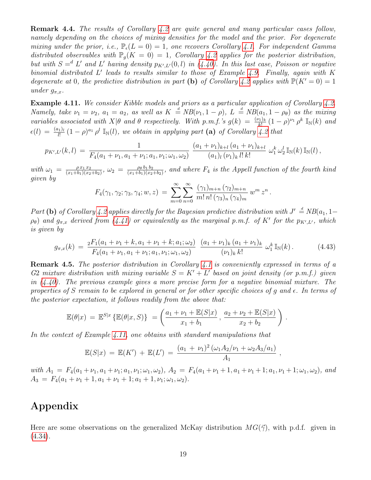Remark 4.4. The results of Corollary [4.2](#page-16-2) are quite general and many particular cases follow, namely depending on the choices of mixing densities for the model and the prior. For degenerate mixing under the prior, i.e.,  $\mathbb{P}_{\epsilon}(L=0) = 1$ , one recovers Corollary [4.1.](#page-14-2) For independent Gamma distributed observables with  $\mathbb{P}_{q}(K = 0) = 1$ , Corollary [4.2](#page-16-2) applies for the posterior distribution, but with  $S = d L'$  and L' having density  $p_{K',L'}(0,l)$  in [\(4.40\)](#page-17-0). In this last case, Poisson or negative binomial distributed  $L'$  leads to results similar to those of Example [4.9.](#page-14-3) Finally, again with  $K$ degenerate at 0, the predictive distribution in part (b) of Corollary [4.2](#page-16-2) applies with  $\mathbb{P}(K' = 0) = 1$ under  $g_{\pi,x}$ .

<span id="page-18-0"></span>Example 4.11. We consider Kibble models and priors as a particular application of Corollary [4.2.](#page-16-2) Namely, take  $\nu_1 = \nu_2$ ,  $a_1 = a_2$ , as well as  $K = NB(\nu_1, 1 - \rho)$ ,  $L = NB(a_1, 1 - \rho_\theta)$  as the mixing variables associated with  $X|\theta$  and  $\theta$  respectively. With p.m.f.'s  $g(k) = \frac{(\nu_1)_k}{k!} (1-\rho)^{\nu_1} \rho^k \mathbb{I}_{\mathbb{N}}(k)$  and  $\epsilon(l) = \frac{(a_1)_l}{l!} (1-\rho)^{a_1} \rho^l$   $\mathbb{I}_{\mathbb{N}}(l)$ , we obtain in applying part (a) of Corollary [4.2](#page-16-2) that

$$
p_{K',L'}(k,l) = \frac{1}{F_4(a_1+\nu_1,a_1+\nu_1;a_1,\nu_1;\omega_1,\omega_2)} \frac{(a_1+\nu_1)_{k+l}(a_1+\nu_1)_{k+l}}{(a_1)_l(\nu_1)_k l! k!} \omega_1^k \omega_2^l \mathbb{I}_{\mathbb{N}}(k) \mathbb{I}_{\mathbb{N}}(l),
$$

with  $\omega_1 = \frac{\rho x_1 x_2}{(x_1 + b_1)(x_2)}$  $\frac{\rho x_1 x_2}{(x_1+b_1)(x_2+b_2)}, \ \omega_2 \ = \ \frac{\rho_\theta \, b_1 \, b_2}{(x_1+b_1)(x_2)}$  $\frac{\rho_{\theta} b_1 b_2}{(x_1+b_1)(x_2+b_2)}$ , and where  $F_4$  is the Appell function of the fourth kind given by

$$
F_4(\gamma_1, \gamma_2; \gamma_3, \gamma_4; w, z) = \sum_{m=0}^{\infty} \sum_{n=0}^{\infty} \frac{(\gamma_1)_{m+n} (\gamma_2)_{m+n}}{m! n! (\gamma_3)_n (\gamma_4)_m} w^m z^n
$$

Part (b) of Corollary [4.2](#page-16-2) applies directly for the Bayesian predictive distribution with  $J' \stackrel{d}{=} NB(a_1, 1-\frac{1}{2})$  $(\rho_{\theta})$  and  $g_{\pi,x}$  derived from [\(4.41\)](#page-17-2) or equivalently as the marginal p.m.f. of K' for the  $p_{K',L'}$ , which is given by

$$
g_{\pi,x}(k) = \frac{{}_2 F_1(a_1 + \nu_1 + k, a_1 + \nu_1 + k; a_1; \omega_2)}{F_4(a_1 + \nu_1, a_1 + \nu_1; a_1, \nu_1; \omega_1, \omega_2)} \frac{(a_1 + \nu_1)_k (a_1 + \nu_1)_k}{(\nu_1)_k k!} \omega_1^k \mathbb{I}_{\mathbb{N}}(k).
$$
 (4.43)

.

.

Remark 4.5. The posterior distribution in Corollary [4.1](#page-14-2) is conveniently expressed in terms of a G2 mixture distribution with mixing variable  $S = K' + L'$  based on joint density (or p.m.f.) given in  $(4.40)$ . The previous example gives a more precise form for a negative binomial mixture. The properties of S remain to be explored in general or for other specific choices of q and  $\epsilon$ . In terms of the posterior expectation, it follows readily from the above that:

$$
\mathbb{E}(\theta|x) = \mathbb{E}^{S|x} \{ \mathbb{E}(\theta|x, S) \} = \left( \frac{a_1 + \nu_1 + \mathbb{E}(S|x)}{x_1 + b_1}, \frac{a_2 + \nu_2 + \mathbb{E}(S|x)}{x_2 + b_2} \right)
$$

In the context of Example [4.11,](#page-18-0) one obtains with standard manipulations that

$$
\mathbb{E}(S|x) = \mathbb{E}(K') + \mathbb{E}(L') = \frac{(a_1 + \nu_1)^2 (\omega_1 A_2 / \nu_1 + \omega_2 A_3 / a_1)}{A_1},
$$

with  $A_1 = F_4(a_1 + \nu_1, a_1 + \nu_1; a_1, \nu_1; \omega_1, \omega_2), A_2 = F_4(a_1 + \nu_1 + 1, a_1 + \nu_1 + 1; a_1, \nu_1 + 1; \omega_1, \omega_2),$  and  $A_3 = F_4(a_1 + \nu_1 + 1, a_1 + \nu_1 + 1; a_1 + 1, \nu_1; \omega_1, \omega_2).$ 

# Appendix

Here are some observations on the generalized McKay distribution  $MG(\vec{\gamma})$ , with p.d.f. given in [\(4.34\)](#page-15-3).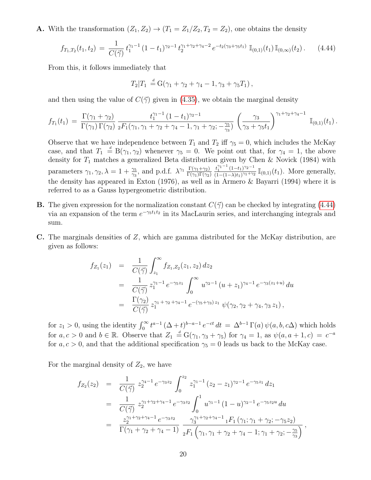**A.** With the transformation  $(Z_1, Z_2) \rightarrow (T_1 = Z_1/Z_2, T_2 = Z_2)$ , one obtains the density

<span id="page-19-0"></span>
$$
f_{T_1,T_2}(t_1,t_2) = \frac{1}{C(\vec{\gamma})} t_1^{\gamma_1-1} (1-t_1)^{\gamma_2-1} t_2^{\gamma_1+\gamma_2+\gamma_4-2} e^{-t_2(\gamma_3+\gamma_5 t_1)} \mathbb{I}_{(0,1)}(t_1) \mathbb{I}_{(0,\infty)}(t_2).
$$
 (4.44)

From this, it follows immediately that

$$
T_2|T_1 = G(\gamma_1 + \gamma_2 + \gamma_4 - 1, \gamma_3 + \gamma_5 T_1),
$$

and then using the value of  $C(\vec{\gamma})$  given in [\(4.35\)](#page-15-0), we obtain the marginal density

$$
f_{T_1}(t_1) = \frac{\Gamma(\gamma_1 + \gamma_2)}{\Gamma(\gamma_1)\Gamma(\gamma_2)} \frac{t_1^{\gamma_1 - 1} (1 - t_1)^{\gamma_2 - 1}}{{}_2F_1(\gamma_1, \gamma_1 + \gamma_2 + \gamma_4 - 1, \gamma_1 + \gamma_2; -\frac{\gamma_5}{\gamma_3})} \left(\frac{\gamma_3}{\gamma_3 + \gamma_5 t_1}\right)^{\gamma_1 + \gamma_2 + \gamma_4 - 1} \mathbb{I}_{(0,1)}(t_1).
$$

Observe that we have independence between  $T_1$  and  $T_2$  iff  $\gamma_5 = 0$ , which includes the McKay case, and that  $T_1 \stackrel{d}{=} B(\gamma_1, \gamma_2)$  whenever  $\gamma_5 = 0$ . We point out that, for  $\gamma_4 = 1$ , the above density for  $T_1$  matches a generalized Beta distribution given by Chen & Novick (1984) with parameters  $\gamma_1, \gamma_2, \lambda = 1 + \frac{\gamma_5}{\gamma_3}$ , and p.d.f.  $\lambda^{\gamma_1} \frac{\Gamma(\gamma_1 + \gamma_2)}{\Gamma(\gamma_1)\Gamma(\gamma_2)}$  $\Gamma(\gamma_1)\Gamma(\gamma_2)$  $t_1^{\gamma_1-1} (1-t_1)^{\gamma_2-1}$  $\frac{t_1^{11-1} (1-t_1)^{\gamma_2-1}}{(1-(1-\lambda)t_1)^{\gamma_1+\gamma_2}} \mathbb{I}_{(0,1)}(t_1)$ . More generally, the density has appeared in Exton (1976), as well as in Armero & Bayarri (1994) where it is referred to as a Gauss hypergeometric distribution.

- **B.** The given expression for the normalization constant  $C(\vec{\gamma})$  can be checked by integrating [\(4.44\)](#page-19-0) via an expansion of the term  $e^{-\gamma_5 t_1 t_2}$  in its MacLaurin series, and interchanging integrals and sum.
- C. The marginals densities of Z, which are gamma distributed for the McKay distribution, are given as follows:

$$
f_{Z_1}(z_1) = \frac{1}{C(\vec{\gamma})} \int_{z_1}^{\infty} f_{Z_1, Z_2}(z_1, z_2) dz_2
$$
  
\n
$$
= \frac{1}{C(\vec{\gamma})} z_1^{\gamma_1 - 1} e^{-\gamma_5 z_1} \int_0^{\infty} u^{\gamma_2 - 1} (u + z_1)^{\gamma_4 - 1} e^{-\gamma_3 (z_1 + u)} du
$$
  
\n
$$
= \frac{\Gamma(\gamma_2)}{C(\vec{\gamma})} z_1^{\gamma_1 + \gamma_2 + \gamma_4 - 1} e^{-(\gamma_5 + \gamma_3) z_1} \psi(\gamma_2, \gamma_2 + \gamma_4, \gamma_3 z_1),
$$

for  $z_1 > 0$ , using the identity  $\int_0^\infty t^{a-1} (\Delta + t)^{b-a-1} e^{-ct} dt = \Delta^{b-1} \Gamma(a) \psi(a, b, c\Delta)$  which holds for  $a, c > 0$  and  $b \in \mathbb{R}$ . Observe that  $Z_1 \stackrel{d}{=} G(\gamma_1, \gamma_3 + \gamma_5)$  for  $\gamma_4 = 1$ , as  $\psi(a, a + 1, c) = c^{-a}$ for  $a, c > 0$ , and that the additional specification  $\gamma_5 = 0$  leads us back to the McKay case.

For the marginal density of  $Z_2$ , we have

$$
f_{Z_2}(z_2) = \frac{1}{C(\vec{\gamma})} z_2^{\gamma_4 - 1} e^{-\gamma_3 z_2} \int_0^{z_2} z_1^{\gamma_1 - 1} (z_2 - z_1)^{\gamma_2 - 1} e^{-\gamma_5 z_1} dz_1
$$
  
\n
$$
= \frac{1}{C(\vec{\gamma})} z_2^{\gamma_1 + \gamma_2 + \gamma_4 - 1} e^{-\gamma_3 z_2} \int_0^1 u^{\gamma_1 - 1} (1 - u)^{\gamma_2 - 1} e^{-\gamma_5 z_2 u} du
$$
  
\n
$$
= \frac{z_2^{\gamma_1 + \gamma_2 + \gamma_4 - 1} e^{-\gamma_3 z_2}}{\Gamma(\gamma_1 + \gamma_2 + \gamma_4 - 1)} \frac{\gamma_3^{\gamma_1 + \gamma_2 + \gamma_4 - 1} 1 F_1(\gamma_1; \gamma_1 + \gamma_2; -\gamma_5 z_2)}{{}_2F_1(\gamma_1, \gamma_1 + \gamma_2 + \gamma_4 - 1; \gamma_1 + \gamma_2; -\frac{\gamma_5}{\gamma_3})},
$$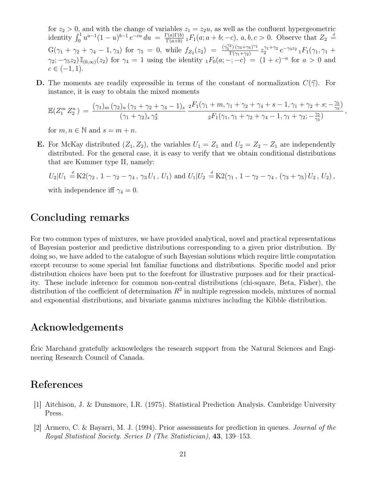for  $z_2 > 0$ , and with the change of variables  $z_1 = z_2u$ , as well as the confluent hypergeometric identity  $\int_0^1 u^{a-1}(1-u)^{b-1} e^{-cu} du = \frac{\Gamma(a)\Gamma(b)}{\Gamma(a+b)}$  $\frac{\Gamma(a)\Gamma(b)}{\Gamma(a+b)}$  1 $F_1(a; a+b; -c)$ ,  $a, b, c > 0$ . Observe that  $Z_2 \stackrel{d}{=}$  $G(\gamma_1 + \gamma_2 + \gamma_4 - 1, \gamma_3)$  for  $\gamma_5 = 0$ , while  $f_{Z_2}(z_2) = \frac{(\gamma_3^{(2)})(\gamma_3 + \gamma_5)^{\gamma_1}}{\Gamma(\gamma_1 + \gamma_2)}$  $\frac{f^{2}) (\gamma_{3}+\gamma_{5})^{\gamma_{1}}}{\Gamma(\gamma_{1}+\gamma_{2})} z_{2}^{\gamma_{1}+\gamma_{2}} \, e^{-\gamma_{3} z_{2}} \, {}_{1}F_{1}(\gamma_{1},\gamma_{1}+ \gamma_{2})$  $\gamma_2; -\gamma_5 z_2$   $\mathbb{I}_{(0,\infty)}(z_2)$  for  $\gamma_4 = 1$  using the identity  ${}_1F_0(a; -; -c) = (1+c)^{-a}$  for  $a > 0$  and  $c \in (-1, 1).$ 

**D.** The moments are readily expressible in terms of the constant of normalization  $C(\vec{\gamma})$ . For instance, it is easy to obtain the mixed moments

$$
\mathbb{E}(Z_1^m Z_2^n) = \frac{(\gamma_1)_m (\gamma_2)_n (\gamma_1 + \gamma_2 + \gamma_4 - 1)_s}{(\gamma_1 + \gamma_2)_s \gamma_3^s} \frac{{}_2F_1(\gamma_1 + m, \gamma_1 + \gamma_2 + \gamma_4 + s - 1, \gamma_1 + \gamma_2 + s; -\frac{\gamma_5}{\gamma_3})}{{}_2F_1(\gamma_1, \gamma_1 + \gamma_2 + \gamma_4 - 1, \gamma_1 + \gamma_2; -\frac{\gamma_5}{\gamma_3})},
$$

for  $m, n \in \mathbb{N}$  and  $s = m + n$ .

**E.** For McKay distributed  $(Z_1, Z_2)$ , the variables  $U_1 = Z_1$  and  $U_2 = Z_2 - Z_1$  are independently distributed. For the general case, it is easy to verify that we obtain conditional distributions that are Kummer type II, namely:

$$
U_2|U_1 \stackrel{d}{=} \mathrm{K2}(\gamma_2, 1 - \gamma_2 - \gamma_4, \gamma_3 U_1, U_1)
$$
 and  $U_1|U_2 \stackrel{d}{=} \mathrm{K2}(\gamma_1, 1 - \gamma_2 - \gamma_4, (\gamma_3 + \gamma_5) U_2, U_2)$ ,

with independence iff  $\gamma_4 = 0$ .

## Concluding remarks

For two common types of mixtures, we have provided analytical, novel and practical representations of Bayesian posterior and predictive distributions corresponding to a given prior distribution. By doing so, we have added to the catalogue of such Bayesian solutions which require little computation except recourse to some special but familiar functions and distributions. Specific model and prior distribution choices have been put to the forefront for illustrative purposes and for their practicality. These include inference for common non-central distributions (chi-square, Beta, Fisher), the distribution of the coefficient of determination  $R^2$  in multiple regression models, mixtures of normal and exponential distributions, and bivariate gamma mixtures including the Kibble distribution.

## Acknowledgements

Éric Marchand gratefully acknowledges the research support from the Natural Sciences and Engineering Research Council of Canada.

## References

- [1] Aitchison, J. & Dunsmore, I.R. (1975). Statistical Prediction Analysis. Cambridge University Press.
- [2] Armero, C. & Bayarri, M. J. (1994). Prior assessments for prediction in queues. Journal of the Royal Statistical Society. Series D (The Statistician), 43, 139–153.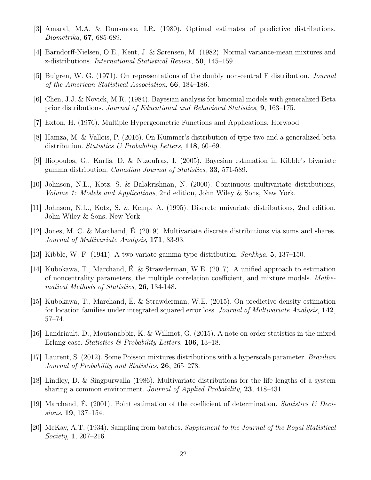- [3] Amaral, M.A. & Dunsmore, I.R. (1980). Optimal estimates of predictive distributions. Biometrika, 67, 685-689.
- [4] Barndorff-Nielsen, O.E., Kent, J. & Sørensen, M. (1982). Normal variance-mean mixtures and z-distributions. International Statistical Review, 50, 145–159
- [5] Bulgren, W. G. (1971). On representations of the doubly non-central F distribution. Journal of the American Statistical Association, 66, 184–186.
- [6] Chen, J.J. & Novick, M.R. (1984). Bayesian analysis for binomial models with generalized Beta prior distributions. Journal of Educational and Behavioral Statistics, 9, 163–175.
- [7] Exton, H. (1976). Multiple Hypergeometric Functions and Applications. Horwood.
- [8] Hamza, M. & Vallois, P. (2016). On Kummer's distribution of type two and a generalized beta distribution. Statistics  $\mathcal{B}$  Probability Letters, 118, 60–69.
- [9] Iliopoulos, G., Karlis, D. & Ntzoufras, I. (2005). Bayesian estimation in Kibble's bivariate gamma distribution. Canadian Journal of Statistics, 33, 571-589.
- [10] Johnson, N.L., Kotz, S. & Balakrishnan, N. (2000). Continuous multivariate distributions, Volume 1: Models and Applications, 2nd edition, John Wiley & Sons, New York.
- [11] Johnson, N.L., Kotz, S. & Kemp, A. (1995). Discrete univariate distributions, 2nd edition, John Wiley & Sons, New York.
- [12] Jones, M. C. & Marchand, É. (2019). Multivariate discrete distributions via sums and shares. Journal of Multivariate Analysis, 171, 83-93.
- [13] Kibble, W. F. (1941). A two-variate gamma-type distribution. Sankhya, 5, 137–150.
- [14] Kubokawa, T., Marchand, É. & Strawderman, W.E. (2017). A unified approach to estimation of noncentrality parameters, the multiple correlation coefficient, and mixture models. Mathematical Methods of Statistics, 26, 134-148.
- [15] Kubokawa, T., Marchand, É. & Strawderman, W.E. (2015). On predictive density estimation for location families under integrated squared error loss. Journal of Multivariate Analysis, 142, 57–74.
- [16] Landriault, D., Moutanabbir, K. & Willmot, G. (2015). A note on order statistics in the mixed Erlang case. Statistics & Probability Letters, 106, 13-18.
- [17] Laurent, S. (2012). Some Poisson mixtures distributions with a hyperscale parameter. Brazilian Journal of Probability and Statistics, 26, 265–278.
- [18] Lindley, D. & Singpurwalla (1986). Multivariate distributions for the life lengths of a system sharing a common environment. Journal of Applied Probability, 23, 418–431.
- [19] Marchand, É. (2001). Point estimation of the coefficient of determination. Statistics  $\mathscr{C}$  Decisions, 19, 137–154.
- [20] McKay, A.T. (1934). Sampling from batches. Supplement to the Journal of the Royal Statistical Society, 1, 207–216.